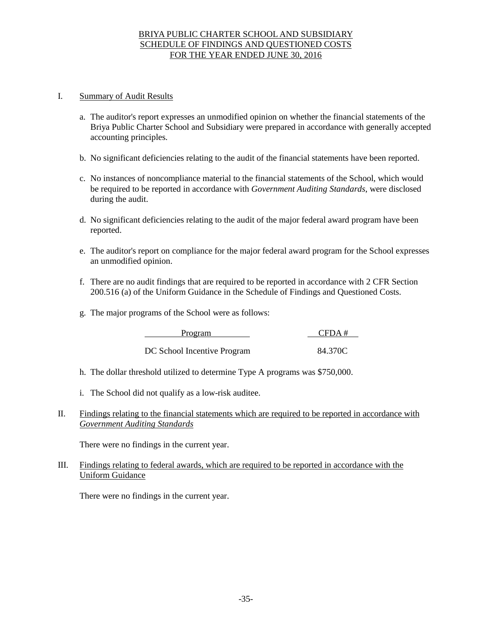| BRIYA PUBLIC CHARTER SCHOOL AND SUBSIDIARY |
|--------------------------------------------|
| <b>DRAFT</b><br>WASHINGTON, D.C.           |
| COMPARATIVE CONSOLIDATED AUDIT REPORT      |
| FOR THE YEARS ENDED JUNE 30, 2016 AND 2015 |
|                                            |

## **KENDALL, PREBOLA AND JONES**

Certified Public Accountants PO BOX 259 BEDFORD, PENNSYLVANIA 15522-0259  $(814)$  623-1880 **FAX** (814) 623-7548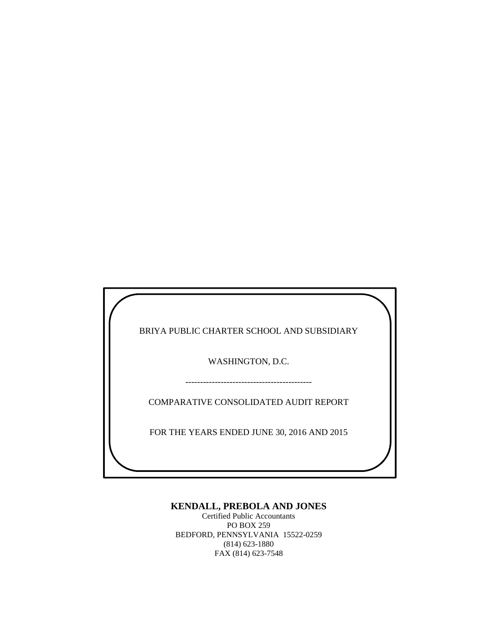## **DRAFT**

## I N D E X

|                                                                                                                                                                                                                          | Page           |
|--------------------------------------------------------------------------------------------------------------------------------------------------------------------------------------------------------------------------|----------------|
| <b>Independent Auditor's Report</b>                                                                                                                                                                                      | $1 - 2$        |
| Comparative Consolidated Statements of Financial Position,<br>June 30, 2016 and 2015                                                                                                                                     | 3              |
| Comparative Consolidated Statements of Activities, For the Years Ended<br>June 30, 2016 and 2015                                                                                                                         | $\overline{4}$ |
| Comparative Consolidated Statements of Cash Flows, For the Years Ended<br>June 30, 2016 and 2015                                                                                                                         | 5              |
| Notes to Comparative Consolidated Financial Statements                                                                                                                                                                   | $6 - 21$       |
| Supplemental Information                                                                                                                                                                                                 |                |
| Schedule 1 - Comparative Consolidated Schedules of Functional Expenses,<br>For the Years Ended June 30, 2016 and 2015                                                                                                    | $22 - 23$      |
| Schedule 2 - Comparative Consolidating Statements of Financial Position,<br>For the Years Ended June 30, 2016 and 2015                                                                                                   | 24             |
| Schedule 3 - Comparative Consolidating Statements of Activities,<br>For the Years Ended June 30, 2016 and 2015                                                                                                           | 25             |
| Schedule 4 - Comparative Consolidated Schedules of Average Cost per Student,<br>For the Years Ended June 30, 2016 and 2015                                                                                               | 26             |
| Schedule 5 - Schedule of Expenditures of Federal Awards,<br>For the Year Ended June 30, 2016                                                                                                                             | 27             |
| Notes to Schedule of Expenditures of Federal Awards                                                                                                                                                                      | 28-29          |
| Independent Auditor's Report on Internal Control Over Financial Reporting<br>and on Compliance and Other Matters Based on an Audit of Financial<br>Statements Performed in Accordance with Government Auditing Standards | $30 - 31$      |
| Independent Auditor's Report on Compliance for Each Major Program<br>and on Internal Control over Compliance Required by the Uniform Guidance                                                                            | $32 - 33$      |
| Summary Schedule of Prior Audit Findings, For the Year Ended June 30, 2016                                                                                                                                               | 34             |
| Schedule of Findings and Questioned Costs, For the Year Ended June 30, 2016                                                                                                                                              | 35             |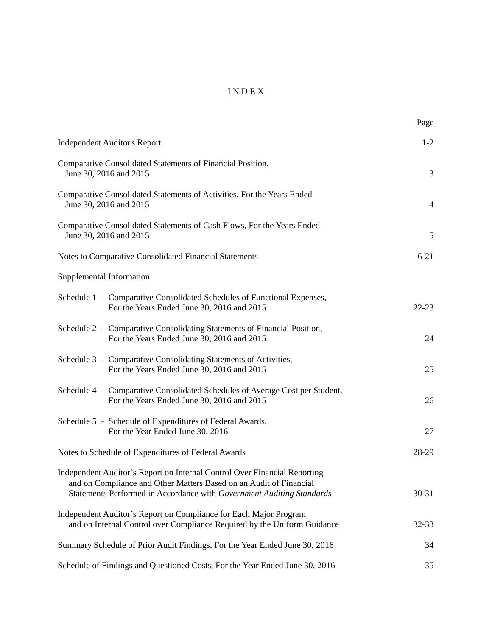Board of Directors Board of Difectors<br>Briya Public Charter School and Subsidiary 2333 Ontario Road NW Washington, DC 20009  $\mathcal{L}$  Charter School and Subsidiary

# **DRAFT**

## INDEPENDENT AUDITOR'S REPORT

#### *Report on the Financial Statements* The Organization has adopted Financial Accounting Standard Board ASC No. 958-205-05,

We have audited the accompanying consolidated financial statements of the Briya Public Charter School and Subsidiary (the School), which comprise the consolidated statements of financial position as of June 30, 2016 and 2015, and the related consolidated statements of activities and cash flows for the years then For 2010 and 2015, and the related consolidated statements of activities and cash flows to ended, and the related notes to the consolidated financial statements. Net assets and revenues, expenses, gains, and losses are classified based on the existence or

#### **Management's Responsibility for the Financial Statements**  $\mathcal{O}$  and reported as follows:

Management is responsible for the preparation and fair presentation of these consolidated financial statements in accordance with accounting principles generally accepted in the United States of America; this includes the design, implementation, and maintenance of internal control relevant to the preparation this discretionary control. and fair presentation of consolidated financial statements that are free from material misstatement, whether due to fraud or error. **EG IMARCIAL Statements that are free from ma** 

#### *Auditor's Responsibility* Assets - Net assets a Net assets a Net assets a Net assets a Net all all that may only a Net all that may obtain the Assets subject to do not a Net all that may obtain the Assets and May or all t with be methy actions of the New York World Movement and  $\frac{1}{2}$

Our responsibility is to express an opinion on these consolidated financial statements based on our audits. Surfresponsionly is to express an opinion on these consolidated infinitial statements based on our attaches.<br>We conducted our audits in accordance with auditing standards generally accepted in the United States of America and the standards applicable to financial audits contained in *Government Auditing Standards*, Einerica and the standards approache to maintenar addits contained in Obvertiment Additing standards,<br>Issued by the Comptroller General of the United States. Those standards require that we plan and perform the audits to obtain reasonable assurance about whether the consolidated financial statements are free from material misstatement.

An audit involves performing procedures to obtain audit evidence about the amounts and disclosures in the consolidated financial statements. The procedures selected depend on the auditor's judgment, including the assessment of the risks of material misstatement of the consolidated financial statements, whether due to fraud or error. In making those risk assessments, the auditor considers internal control relevant to the entity's preparation and fair presentation of the consolidated financial statements in order to design audit procedures that are appropriate in the circumstances, but not for the purpose of expressing an opinion on the effectiveness of the entity's internal control. Accordingly, we express no such opinion. An audit also includes evaluating the appropriateness of accounting policies used and the reasonableness of significant accounting estimates made by management, as well as evaluating the overall presentation of the consolidated financial statements.  $E = \frac{1}{2}$   $\frac{1}{2}$   $\frac{1}{2}$   $\frac{1}{2}$   $\frac{1}{2}$   $\frac{1}{2}$   $\frac{1}{2}$   $\frac{1}{2}$   $\frac{1}{2}$   $\frac{1}{2}$   $\frac{1}{2}$   $\frac{1}{2}$   $\frac{1}{2}$   $\frac{1}{2}$   $\frac{1}{2}$   $\frac{1}{2}$   $\frac{1}{2}$   $\frac{1}{2}$   $\frac{1}{2}$   $\frac{1}{2}$   $\frac{1}{2}$   $\frac{1}{2}$ An audit involves performing procedures to obtain audit evidence about the amounts and

We believe that the audit evidence we have obtained is sufficient and appropriate to provide a basis for our audit opinion.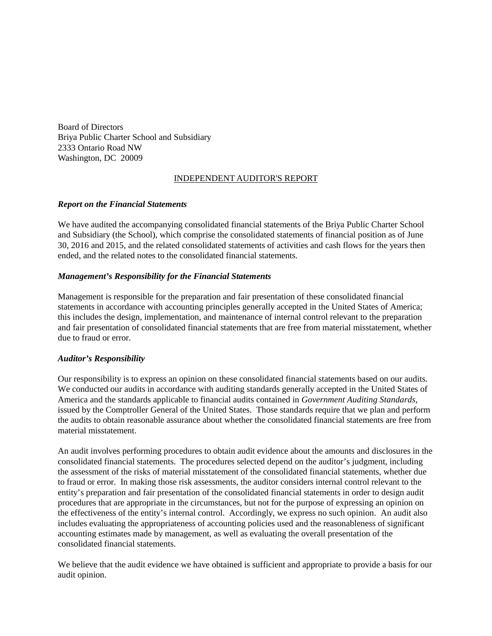#### *Opinion*

In our opinion, the consolidated financial statements referred to above present fairly, in all material respects, the financial position of the Briya Public Charter School and Subsidiary as of June 30, 2016 and 2015, and the changes in its net assets and its cash flows for the years then ended in accordance with accounting principles generally accepted in the United States of America.

#### *Other Matters*

Our audits were conducted for the purpose of forming an opinion on the consolidated financial statements as a whole. The schedules of consolidated functional expenses, consolidated schedules of average cost per student, consolidating schedule of financial position and consolidating schedule of activities are presented for purposes of additional analysis and are not a required part of the consolidated financial statements. In addition, the accompanying Schedule of Expenditures of Federal Awards, as required by Title 2 U.S. Code of Federal Regulations (CFR) Part 200, *Uniform Administrative Requirements, Cost Principles, and Audit Requirements for Federal Awards*, is presented for purposes of additional analysis and is not a required part of the financial statements. Such information is the responsibility of management and was derived from and relates directly to the underlying accounting and other records used to prepare the consolidated financial statements. The information has been subjected to the auditing procedures applied in the audit of the consolidated financial statements and certain additional procedures, including comparing and reconciling such information directly to the underlying accounting and other records used to prepare the consolidated financial statements or to the consolidated financial statements themselves, and other additional procedures in accordance with auditing standards generally accepted in the United States of America. In our opinion, the information is fairly stated in all material respects in relation to the consolidated financial statements as a whole.

#### *Other Reporting Required by Government Auditing Standards*

In accordance with *Government Auditing Standards*, we have also issued our report dated November 1, 2016, on our consideration of the School's internal control over financial reporting and on our tests of its compliance with certain provisions of laws, regulations, contracts and grant agreements and other matters. The purpose of that report is to describe the scope of our testing of internal control over financial reporting and compliance and the results of that testing, and not to provide an opinion on the internal control over financial reporting or on compliance. That report is an integral part of an audit performed in accordance with *Government Auditing Standards* in considering the School's internal control over financial reporting and compliance.

## **DRAFT**

Kendall, Prebola and Jones Certified Public Accountants  $K_{\text{end}}$ 

Bedford, Pennsylvania November 1, 2016  $T_{\rm eff}$  and  $T_{\rm eff}$  and  $T_{\rm eff}$  and  $S$   $\sim$  958-205-05,  $\sim$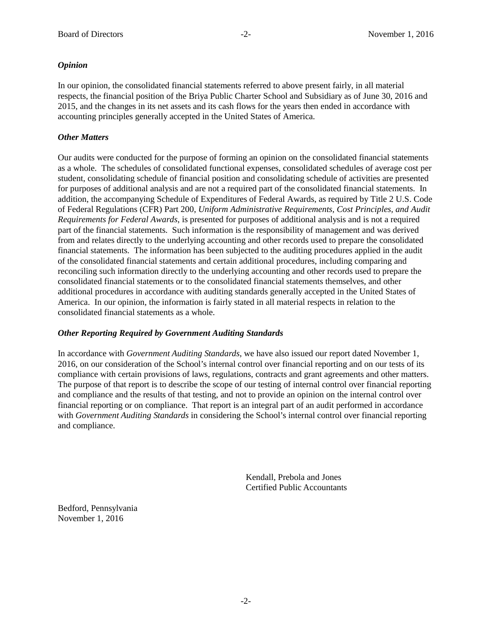

#### BRIYA PUBLIC CHARTER SCHOOL AND SUBSIDIARY COMPARATIVE CONSOLIDATED STATEMENTS OF FINANCIAL POSITION JUNE 30, 2016 AND 2015 1. SUMMARY OF SIGNIFICANT ACCOUNTING POLICIES: (Continued)<br>SUMMARY OF SIGNIFICANT ACCOUNTING POLICIES: (Continued)

|                                                               | June 30, 2016                | June 30, 2015        |
|---------------------------------------------------------------|------------------------------|----------------------|
| <b>ASSETS</b><br><b>Current Assets:</b>                       |                              |                      |
| Cash and Cash Equivalents                                     | \$<br>2,622,610              | \$<br>2,921,743      |
| Certificates of Deposit                                       | 4,356,093                    | 7,856,467            |
| <b>Accounts and Interest Receivable</b>                       | 18,651                       | 25,452               |
| <b>Grants Receivable</b>                                      | 156,273                      | 268,516              |
| Prepaid Expenses                                              | 190,132                      | 67,235               |
|                                                               |                              |                      |
| <b>Total Current Assets</b>                                   | \$<br>7,343,759              | \$11,139,413         |
| <b>Fixed Assets:</b>                                          |                              |                      |
| Furniture, Equipment and Computers                            | \$<br>873,653                | \$<br>455,003        |
| Accumulated Depreciation - Furniture, Equipment and Computers | (431, 553)                   | (358, 614)           |
| Leasehold Improvements                                        | 285,013                      | 285,013              |
| Accumulated Amortization - Leasehold Improvements             | (238, 828)                   | (236,981)            |
| <b>Construction</b> in Progress                               | 23,451,743                   | 279,759              |
| <b>Total Fixed Assets</b>                                     | 23,940,028<br>\$             | 424,180              |
| Capital Lease:                                                |                              |                      |
| Leasehold - Georgia Avenue                                    | \$<br>2,056,499              | \$<br>2,056,499      |
| Accumulated Amortization - Capital Lease                      | (342,749)                    | (274,200)            |
|                                                               |                              |                      |
| <b>Total Capital Leases</b>                                   | 1,713,750                    | 1,782,299            |
| Other Assets:                                                 |                              |                      |
| Deposits                                                      | \$<br>473,251                | \$<br>227,875        |
| Loan Costs                                                    | 447,277                      |                      |
|                                                               |                              |                      |
| <b>Total Other Assets</b>                                     | \$<br>920,528                | 227,875<br>\$        |
| <b>TOTAL ASSETS</b>                                           | 33,918,065                   | 13,573,767<br>\$     |
| <b>LIABILITIES AND NET ASSETS</b>                             |                              |                      |
| <b>Current Liabilities:</b>                                   |                              |                      |
| <b>Accounts Payable</b>                                       | 10,282,462<br>\$             | \$<br>231,088        |
| Accrued Salaries and Expenses                                 | 276,599                      | 288,310              |
| <b>Interest Payable</b>                                       | 28,857                       |                      |
| Deposits Held for Others                                      | 759                          |                      |
| Capital Lease - Current Portion                               | 19,155                       | 18,965               |
| <b>Total Current Liabilities</b>                              | \$10,607,832                 | 538,363<br><u>\$</u> |
|                                                               |                              |                      |
| Long-term Liabilities:                                        |                              |                      |
| Capital Lease<br><b>Less: Current Portion</b>                 | \$<br>1,596,552<br>(19, 155) | \$<br>1,617,451      |
| Loans Payable                                                 |                              | (18,965)             |
|                                                               | 7,807,293                    |                      |
| <b>Total Long-term Liabilities</b>                            | 9,384,690                    | 1,598,486<br>\$      |
| <b>Total Liabilities</b>                                      | 19,992,522                   | 2,136,849            |
| Net Assets:                                                   |                              |                      |
| Unrestricted                                                  | 13,923,543<br>\$             | \$11,434,918         |
| <b>Temporarily Restricted</b>                                 | 2,000                        | 2,000                |
| <b>Total Net Assets</b>                                       | \$13,925,543                 | \$11,436,918         |
| TOTAL LIABILITIES AND NET ASSETS                              | \$33,918,065                 | \$13,573,767         |

(See Accompanying Notes and Auditor's Report)  $\ddot{\phantom{0}}$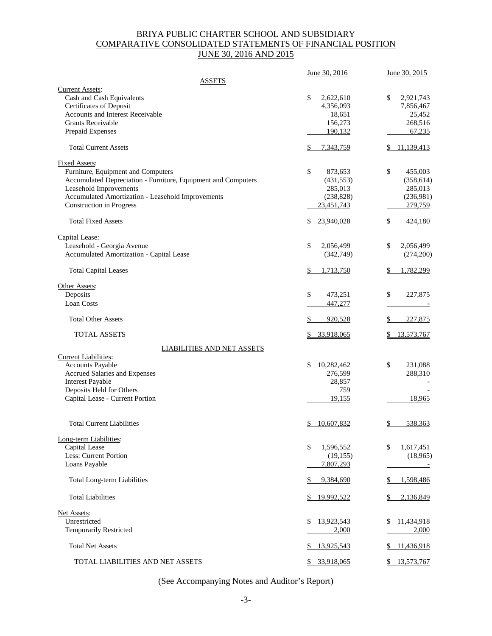#### BRIYA PUBLIC CHARTER SCHOOL AND SUBSIDIARY COMPARATIVE CONSOLIDATED STATEMENTS OF ACTIVITIES FOR THE YEARS ENDED JUNE 30, 2016 AND 2015 1. SUMMARY OF SIGNIFICANT ACCOUNTING POLICIES: (Continued)  $\frac{\text{SULIDALED S1}}{\text{DSEED E}}$

|                                                                                                                                                                                                            | June 30, 2016                                                  |                           |                                                                |                                                              | June 30, 2015             |                                                              |  |  |
|------------------------------------------------------------------------------------------------------------------------------------------------------------------------------------------------------------|----------------------------------------------------------------|---------------------------|----------------------------------------------------------------|--------------------------------------------------------------|---------------------------|--------------------------------------------------------------|--|--|
|                                                                                                                                                                                                            | Unrestricted                                                   | Temporarily<br>Restricted | Total                                                          | Unrestricted                                                 | Temporarily<br>Restricted | Total                                                        |  |  |
| <b>Revenues and Other Support:</b>                                                                                                                                                                         |                                                                |                           |                                                                |                                                              |                           |                                                              |  |  |
| Tuition - Per Pupil Funding Allocation<br>Tuition - Per Pupil Facilities Allocation<br><b>Federal Entitlements and Grants</b><br><b>State Government Grants</b><br><b>Private Grants and Contributions</b> | 4,771,607<br>\$<br>1,552,628<br>1,050,395<br>302,501<br>43,066 | \$                        | \$<br>4,771,607<br>1,552,628<br>1,050,395<br>302,501<br>43,066 | \$<br>5,000,017<br>1,511,424<br>472,834<br>176,210<br>35,271 | \$<br>650                 | \$<br>5,000,017<br>1,511,424<br>472,834<br>176,210<br>35,921 |  |  |
| <b>Student Fees</b><br>Donated Services, Facilities, Etc.<br>Interest                                                                                                                                      | 14,721<br>130,821<br>55,520                                    |                           | 14,721<br>130,821<br>55,520                                    | 79,431<br>66,738                                             |                           | 79,431<br>66,738                                             |  |  |
| <b>Other Revenues</b><br><b>Net Assets Released from Restrictions</b><br>(Satisfaction of Program Restrictions)                                                                                            | 2,852                                                          |                           | 2,852                                                          | 1,335<br>12,551                                              | (12, 551)                 | 1,335                                                        |  |  |
| <b>Total Revenues and Other Support</b>                                                                                                                                                                    | \$7,924,111                                                    |                           | $\mathbb{S}^-$<br>7,924,111                                    | 7,355,811<br>$\mathbb{S}$                                    | (11,901)<br>S.            | \$7,343,910                                                  |  |  |
| Expenses:                                                                                                                                                                                                  |                                                                |                           |                                                                |                                                              |                           |                                                              |  |  |
| <b>Educational Services</b><br>Fundraising<br>General and Administrative                                                                                                                                   | 5,042,293<br>\$<br>27,554<br>824,639                           | $\mathcal{S}$<br>$\sim$   | 5,042,293<br>\$<br>27,554<br>824,639                           | \$<br>4,561,071<br>39,816<br>525,054                         | \$                        | \$<br>4,561,071<br>39,816<br>525,054                         |  |  |
| <b>Total Expenses</b>                                                                                                                                                                                      | 5,894,486                                                      | \$                        | 5,894,486                                                      | 5,125,941                                                    |                           | \$<br>5,125,941                                              |  |  |
| Changes in Net Assets<br>Net Assets, Beginning of Year<br><b>Member Contributions</b>                                                                                                                      | \$2,029,625<br>11,434,918<br>459,000                           | $\frac{1}{2}$<br>2,000    | 2,029,625<br>S.<br>11,436,918<br>459,000                       | 2,229,870<br>\$<br>9,205,048                                 | (11,901)<br>\$.<br>13,901 | \$2,217,969<br>9,218,949                                     |  |  |
| Net Assets, End of Year                                                                                                                                                                                    | \$13,923,543                                                   | 2,000                     | \$13,925,543                                                   | \$11,434,918                                                 | 2,000                     | \$11,436,918                                                 |  |  |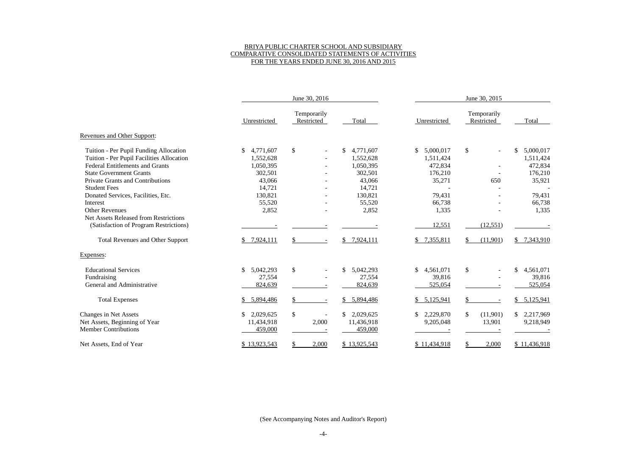## **DRAFT**

## BRIYA PUBLIC CHARTER SCHOOL AND SUBSIDIARY COMPARATIVE CONSOLIDATED STATEMENTS OF CASH FLOWS<br>FOR THE VEARS ENDED HAW 20, 2016 AND 2015 FOR THE YEARS ENDED JUNE 30, 2016 AND 2015

|                                                                                                | June 30, 2016             | June 30, 2015    |
|------------------------------------------------------------------------------------------------|---------------------------|------------------|
| <b>Cash Flows from Operating Activities:</b>                                                   |                           |                  |
| <b>Changes in Net Assets</b>                                                                   | \$<br>2,029,625           | 2,217,969<br>\$  |
| Adjustments to Reconcile Changes in Net Assets<br>to Net Cash Flows from Operating Activities: |                           |                  |
| Depreciation and Amortization                                                                  | 143,336                   | 149,525          |
| <b>Imputed Interest</b>                                                                        | 80,873                    | 81,819           |
| Accounts and Interest Receivable - (Increase)/Decrease                                         | 6,800                     | (13,256)         |
| Grants Receivable - (Increase)/Decrease                                                        | 112,243                   | (166, 525)       |
| Prepaid Expenses - (Increase)/Decrease                                                         | (122, 897)                | (13, 721)        |
| Deposits - (Increase)/Decrease                                                                 | (245, 376)                | (75)             |
| Accounts Payable - Increase/(Decrease)                                                         | 9,939,311                 | 159,738          |
| Interest Payable - Increase/(Decrease)                                                         | 28,857                    |                  |
| Accrued Salaries and Expenses - Increase/(Decrease)                                            | 100,352                   | 4,009            |
| Deposits Held for Others - Increase/(Decrease)                                                 | 759                       |                  |
| Deferred Revenue - Increase/(Decrease)                                                         |                           | (301, 345)       |
| Net Cash Flows from Operating Activities                                                       | \$12,073,883              | 2,118,138<br>\$  |
| <b>Cash Flows from Investing Activities:</b>                                                   |                           |                  |
| Purchase of Fixed Assets and Construction in Progress                                          | \$(23,590,635)            | \$<br>(367, 945) |
| Net Sales (Purchases) of Certificates of Deposit                                               | 3,500,374                 | 105,553          |
| <b>Member Contributions</b>                                                                    | 459,000                   | 105,553          |
| Net Cash Flows from Investing Activities                                                       | \$(19,631,261)            | \$<br>(262, 392) |
| <b>Cash Flows from Financing Activities:</b>                                                   |                           |                  |
| Payments Made on Capital Lease                                                                 | $\mathbb{S}$<br>(101,771) | \$<br>(100, 763) |
| Payments Made for Loan Costs                                                                   | (447, 277)                |                  |
| Proceeds from Loan                                                                             | 7,807,293                 |                  |
|                                                                                                |                           |                  |
| Net Cash Flows from Financing Activities                                                       | 7,258,245                 | \$<br>(100, 763) |
| Net Increase/(Decrease) in Cash and Cash Equivalents                                           | \$<br>(299, 133)          | \$<br>1,754,983  |
| Cash and Cash Equivalents at Beginning of Year                                                 | 2,921,743                 | 1,166,760        |
| Cash and Cash Equivalents at End of Year                                                       | 2,622,610                 | 2,921,743        |

Supplemental Disclosures:

- ppiemental Disclosures:<br>a) No income taxes were paid during the years ended June 30, 2016 and 2015. Acs were paid during the years ended june 30, 2010 and 2013.
- b) No interest was paid during the years ended June 30, 2016 and 2015.
- b) Two interest was paid during the years ended June 50, 2010 and 2015.<br>c) During the year ended June 30, 2016, the School received \$571 of food commodities from the U.S. Department of Agriculture. Total Net Assets Released from Restriction \$ 258,677 \$ 187,755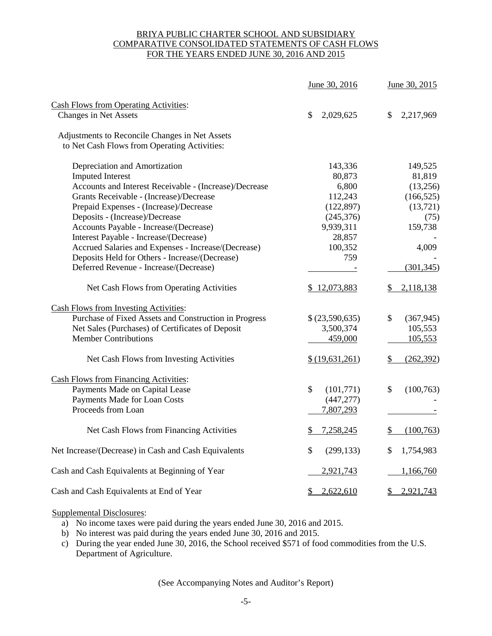## 1. ORGANIZATION:

Briya Public Charter School (Briya PCS), a District of Columbia Not-for-Profit Corporation was incorporated on July 12, 2005, exclusively for educational purposes. Briya PCS operates as part of the District of Columbia Public School system with its focus on providing high quality education for adults and children that empowers families through a culturally sensitive family literacy model.

In February 2015, Briya Public Charter School formed Mamie D. Lee, LLC (a District of Columbia LLC), which was established to lease a school building from the DC Government. This school building will be renovated by the LLC and subleased to Briya Public Charter School and Bridges Public Charter School for the 2016-2017 school year. These two schools, who are both  $501(c)(3)$ organizations, are the only members of the LLC. All transactions of the LLC are consolidated with the transactions of Briya Public Charter School in the accompanying financial statements.

#### Basic Programs:

#### Education -

The Briya Public Charter School is a multicultural family literacy public charter school designed to give an integrated educational experience to parents and their children. The program creates a place where parents can learn necessary English literacy and parenting skills and children are prepared for future school success. The program builds on families' strengths and provides the tools and support for improving educational, economic, and social opportunities.

The School works in collaboration with Mary's Center for Maternal and Child Care, Inc., and Bancroft Elementary School.

- Adult Education English for Speakers of Other Languages.
- Early Childhood Education Literacy focused classes for children that are held simultaneously with Adult services. Early Childhood Education Classes are taught with an emphasis on preparing children for school aged success.
- Parenting Parenting Workshops assist parents with developing responsible parenting skills. Parenting includes early childhood education, how to help your child in school, child behavior management, and nutrition.
- Parenting and Child Together This unique component of family literacy brings parents and their children together in the child's classroom to work, play, and learn through literacy activities.
- Work force development programs Two programs help students achieve economic independence with credentials for jobs in health care and early childhood care:
	- <sup>o</sup> Medical Assistant (MA) Program This 18-month program prepares students for a career as a Registered Medical Assistant in medical offices, clinics and hospitals. MA students learn to perform both clinical and administrative duties.
	- <sup>o</sup> CDA Program This program prepares students to gain the nationally-recognized Child Development Associate (CDA) credential. With the CDA credential, graduates can pursue career options such as early childhood teacher, home visitor, or operator of a licensed home daycare facility.
- The National External Diploma Program (NEDP) NEDP is offered to Briya students who are enrolled in the Advanced II class and provides a unique way for students to earn a high school diploma.
- Education Fellows Education Fellows Program is a paid internship program that provides a one year entry level work experience and tuition assistance for continuing education, with the possibility of a second year renewal.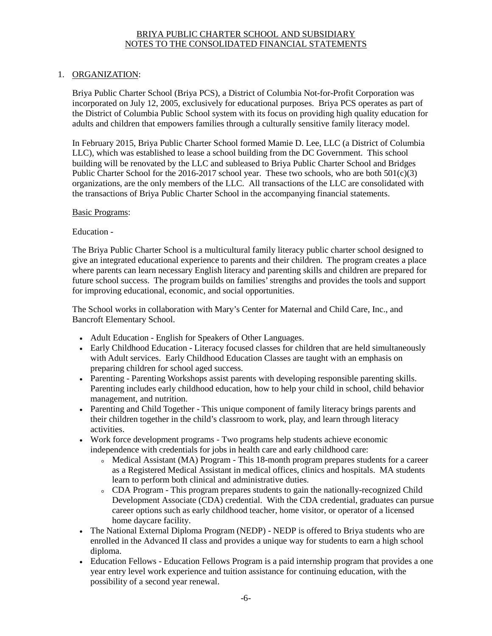#### 1. ORGANIZATION: (Continued)

Basic Programs: (Continued)

Other Services -

- Counseling and interpretation are available to students in most workshops and during registration and referral services.
- Referral Services are available for health care, nutrition, employment, legal aid, emergency shelter, and continuing education.

#### 2. SUMMARY OF SIGNIFICANT ACCOUNTING POLICIES:

The significant accounting policies of the School are summarized below:

(a) Basis of Accounting and Presentation:

The accompanying consolidated financial statements have been prepared on the accrual basis of accounting, which presents financial position, activities, functional expenses, and cash flows in accordance with accounting principles generally accepted in the United States of America.

(b) Principles of Consolidation:

The accompanying consolidated financial statements include the accounts of Mamie D. Lee, LLC, and Briya Public Charter School, collectively referred to as the School. All significant intercompany transactions and accounts have been eliminated in consolidation.

#### (c) Revenue Recognition:

#### **Contributions**

The School has adopted Financial Accounting Standards Board ASC No. 958-605-25, *Accounting for Contributions Received and Contributions Made.* As such, contributions are recognized as revenue when they are received or unconditionally pledged.

All contributions are available for unrestricted use unless specifically restricted by the donor. Contributions and promises to give with donor imposed conditions are recognized as unrestricted support when the conditions on which they depend are substantially met. Contributions and promises to give with donor imposed restrictions are reported as temporarily restricted support. Unconditional promises to give due in the next year are recorded at their net realizable value.

The School reports gifts of equipment as unrestricted support unless explicit donor stipulations specify how the donated assets must be used. The School reports expirations of donor restrictions when the donated or acquired assets are placed in service.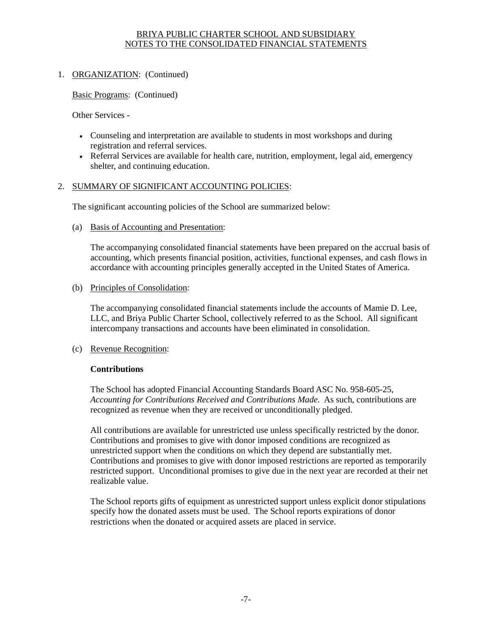## 2. SUMMARY OF SIGNIFICANT ACCOUNTING POLICIES: (Continued)

#### (c) Revenue Recognition: (Continued)

#### **Federal and Charter School Funding**

The School receives a student allocation from the District of Columbia as well as federal funding to cover the cost of academic expenses. The student allocation is on a per pupil basis and includes the academic year funding, special education funding and a facilities allotment. The School recognized this funding in the year in which the school term is conducted. Funding received in advance of the school term is recorded as deferred revenue. Federal entitlements are recognized based on the allowable costs incurred.

#### (d) Corporate Taxes:

The School is exempt from federal and state income taxes (other than on unrelated business income) under the provisions of Section  $501(c)(3)$  of the Internal Revenue Code and similar state income tax laws. Exemption from District of Columbia income taxes was granted to the School effective July 12, 2005. Accordingly, no provisions for income taxes have been provided for in the accompanying financial statements. The School has been classified as other than a private foundation and contributions to the organization qualify as a charitable tax deduction by the contributor. The School did not have any net unrelated business income for the years ended June 30, 2016 and 2015.

#### (e) Grants:

Grant revenues are received primarily from the Federal agencies and the District of Columbia Government. These grants are subject to audit by the grantor agencies. Such audits could result in a request for reimbursement by the agency for expenditures disallowed under the terms and conditions of the appropriate grantor. No provision for possible adjustment has been made in the accompanying financial statements because, in the opinion of management, such adjustment, if any, would not have a material effect on the financial statements.

Grant revenues are recognized as increases in unrestricted net assets unless use of related assets is limited by donor-imposed restrictions. Expenses are reported as decreases in unrestricted net assets. Expiration of temporary restrictions (i.e. the donor-stipulated purpose has been fulfilled and/or the stipulated time period has elapsed) is reported as net assets released from restrictions between the applicable classes of net assets.

Cash receipts in excess of costs incurred for grants are reflected as refundable advances until they are expended for the purpose of the grant, at which time they are recognized as unrestricted support. Costs incurred in excess of cash received are reflected as grants receivable.

#### (f) Net Assets:

The School has adopted Financial Accounting Standards Board ASC No. 958-205-05, *Financial Statements of Not-for-Profit Organizations*. Under FASB ASC No. 958-205-05, the School is required to report information regarding its financial position and activities according to three classes of net assets.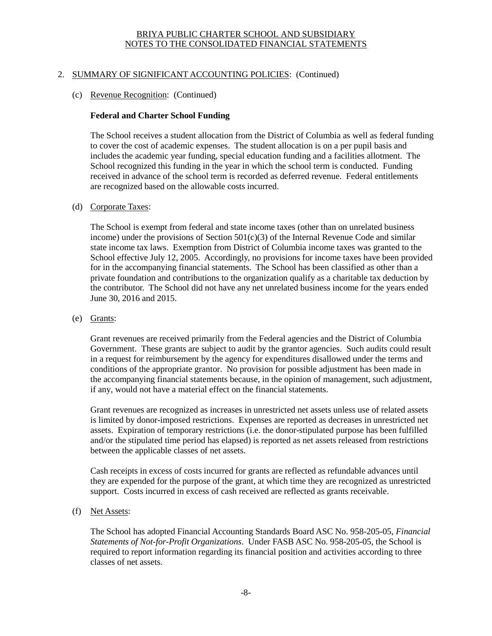## 2. SUMMARY OF SIGNIFICANT ACCOUNTING POLICIES: (Continued)

#### (f) Net Assets: (Continued)

Net assets and revenues, expenses, gains, and losses are classified based on the existence or absence of donor-imposed restrictions. Accordingly, net assets of the School and changes therein are classified and reported as follows:

#### **Unrestricted Net Assets**

Net assets that are not subject to donor-imposed restrictions and over which the Board of Directors has discretionary control. This classification includes net assets subject to donorimposed conditions, which have been met in the current year and net assets subject to donorimposed restrictions that have been released from restrictions.

#### **Temporarily Restricted Net Assets**

Net assets subject to donor-imposed restrictions that may or will be met, either by actions of the School and/or the passage of time. When a restriction expires, temporarily restricted net assets are reclassified to unrestricted net assets and reported in the statement of activities as net assets released from restrictions. Temporarily restricted net assets were available at year end for the following purpose:

|                                       | June 30, 2016 |       |  | June 30, 2015 |  |  |
|---------------------------------------|---------------|-------|--|---------------|--|--|
| <b>Student Loans - Use Restricted</b> |               | 2.000 |  | 2.000         |  |  |
| Total                                 |               | 2.000 |  |               |  |  |

Net assets were released from donor restrictions by incurring expenses satisfying the restricted purpose, the passage of time, or by occurrence of other events specified by donors for the following activities:

|                                                      | June 30, 2016 |                          | June 30, 2015 |        |
|------------------------------------------------------|---------------|--------------------------|---------------|--------|
| <b>Educational Program Services - Use Restricted</b> |               | $\overline{\phantom{a}}$ |               | 12.551 |
| <b>Total Released</b>                                |               | $\overline{\phantom{0}}$ |               |        |

#### **Permanently Restricted Net Assets**

Net assets subject to donor-imposed stipulations that requires the net assets be maintained permanently by the School. Generally, the donors of these assets permit the use of all or part of the income earned on any related investments for general or specific purposes. The School did not have any permanently restricted net assets as of June 30, 2016 or 2015.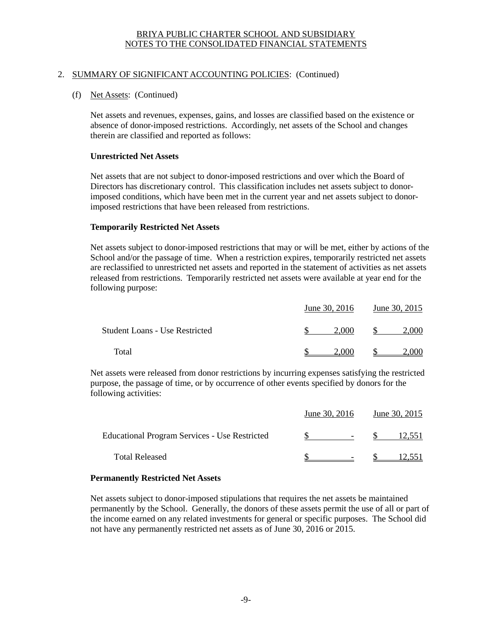## 2. SUMMARY OF SIGNIFICANT ACCOUNTING POLICIES: (Continued)

#### (g) Donated Services, Materials and Facilities:

Donated services and materials are recognized as contributions in accordance with FASB ASC 958, *Accounting for Contributions Received and Contributions Made*, if the services received create or enhance nonfinancial assets or require specialized skills, and are provided by individuals possessing those skills, and would typically need to be purchased if not provided by donation. Contributed services and promises to give services that do not meet the above criteria are not recognized. The time contributed by the School's Board of Directors is uncompensated and is not reflected as donated services. In-kind contributions are recorded in the Statement of Activities at estimated fair value and recognized as revenue and expense (or an asset) in the period they are received.

Donated services, materials and facilities of \$130,821 and \$79,431 are recorded in the financial statements for the years ended June 30, 2016 and 2015, respectively, and consist of the following:

|                                          | June 30, 2016 |        |   | June 30, 2015 |
|------------------------------------------|---------------|--------|---|---------------|
| <b>General Services</b>                  | <b>S</b>      | 12,100 | S |               |
| <b>Services - Capitalized Loan Costs</b> |               | 36,959 |   |               |
| Materials                                |               |        |   | 50            |
| Facilities                               |               | 81,762 |   | 79,381        |
| Total                                    |               |        |   | 9.43          |

## (h) Functional Expenses:

The costs of providing the School's various programs and supporting services have been summarized on a functional basis in the accompanying Statement of Activities. Accordingly, certain costs have been allocated among the programs, fundraising and supporting services benefited on the basis of direct labor, equivalent number of employees and actual purpose of the expenditure.

## (i) Use of Estimates:

The preparation of financial statements in conformity with accounting principles generally accepted in the United States of America requires management to make estimates and assumptions that affect the reported amounts of assets, liabilities, the disclosure of contingent assets and liabilities at the date of the financial statements, and the reported amounts of support and revenues and expenses during the reporting period. Actual results could differ from those estimates. The significant estimates in the financial statements are depreciable lives and estimated residual value of property and equipment, estimated economic life of capital leases, and the allocation of expenses by function.

## (j) Recognition of Salary Expense:

Salary expense is recognized in the year the service is rendered, which coincides with the academic year. Salaries unpaid at June 30 are recognized as expense and accrued.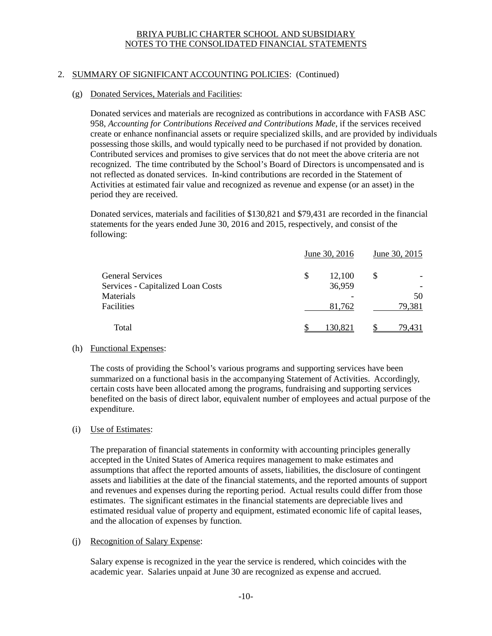## 2. SUMMARY OF SIGNIFICANT ACCOUNTING POLICIES: (Continued)

## (k) Certificates of Deposit:

Certificates of deposit are other investments with original maturities greater than three months and are carried at amortized cost. The certificates of deposit do not qualify as securities as defined in Financial Accounting Standard Board ("FASB") Accounting Standards Codification ("ASC") 320, *Investments - Debt and Equity Securities*, thus the fair value disclosures required by ASC 820, Fair Value Measurements and Disclosures, are not provided.

#### (l) Fair Value of Certain Financial Instruments:

Some of the School's financial instruments are not measured at fair value on a recurring basis but nevertheless are recorded at amounts that approximate fair value due to their liquid or shortterm nature. Such accounts include cash and cash equivalents, accounts receivable, prepaid expenses, accounts payable, and accrued expenses.

#### 3. ACCOUNTING FOR UNCERTAIN TAX POSITIONS:

Accounting principles generally accepted in the United States of America provide consistent guidance for the accounting for uncertainty in income taxes recognized in the School's financial statements and prescribe a threshold of "more likely than not" for recognition of tax positions taken or expected to be taken in a tax return. The School performed an evaluation of uncertain tax positions for the year ended June 30, 2016, and determined that there were no matters that would require recognition in the financial statements or that may have any effect on its tax-exempt status. As of June 30, 2016, the statute of limitations for tax years 2012 through 2014 remains open with the U.S. federal jurisdiction or the various states and local jurisdictions in which the organization files tax returns. It is the School's policy to recognize interest and/or penalties related to uncertain tax positions, if any, in income tax expense. As of June 30, 2016, the School had no accruals for interest and/or penalties.

## 4. CASH, CASH EQUIVALENTS AND CERTIFICATES OF DEPOSIT:

#### Cash and Cash Equivalents

Cash and cash equivalents at June 30, 2016 and 2015, totaled \$2,622,610 and \$2,921,743, respectively, and consisted of the following:

|                                                                   |  | June 30, 2016       | <u>June 30, 2015</u> |                   |
|-------------------------------------------------------------------|--|---------------------|----------------------|-------------------|
| <b>Interest Bearing Checking Account</b>                          |  | 1.062.746           |                      | 2,611,066         |
| <b>Savings Accounts</b><br>Non-Interest Bearing Checking Accounts |  | 42,354<br>1,508,908 |                      | 48,810<br>254,823 |
| Money Market - Treasury Obligations                               |  | 8,602               |                      | 7,044             |
| Total                                                             |  | 2.622.610           |                      | 2.921,743         |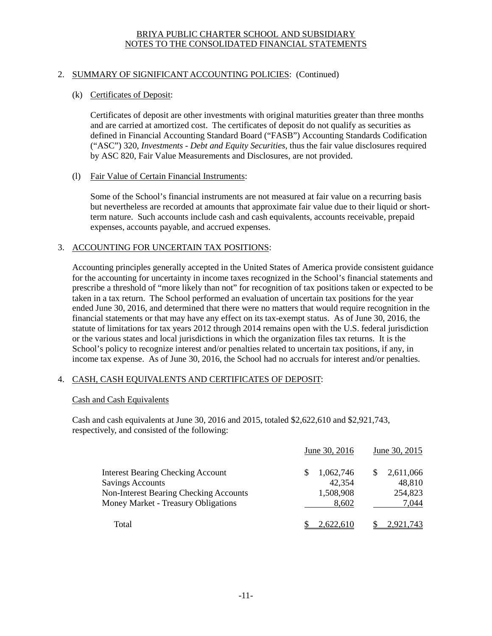#### 4. CASH, CASH EQUIVALENTS AND CERTIFICATES OF DEPOSIT: (Continued)

#### Certificates of Deposit

Certificates of Deposit are purchased from banking institutions by the School and the Manufacturers and Traders Trust Co. as custodian for the School. Certificates of Deposits are valued at original cost plus reinvested interest. Balances at year end consisted of the following:

|                                | June 30, 2016 | June 30, 2015 |  |
|--------------------------------|---------------|---------------|--|
| <b>Certificates of Deposit</b> | \$ 4.356,093  | \$ 7,856,467  |  |

For purposes of the cash flow statement and financial statement presentation, cash and cash equivalents are short term, highly liquid investments with maturities of three months or less, including money market mutual accounts.

The School maintains its cash in multiple financial institutions, with most of the cash being held by one banking institution. These cash accounts are covered under the Federal Deposit Insurance Corporation (FDIC) Program. FDIC insures both interest-bearing and non-interest-bearing accounts up to \$250,000 per banking institution.

As of June 30, 2016 and 2015, \$1,001,493 and \$454,806, respectively, was deposited in excess of Federal Deposit Insurance Corporation limits. Due to increased cash flows at certain times during the year, the amount of funds at risk may have been greater than at year-end. The School would be at risk for any funds held in excess of the insured amounts.

In order to minimize this risk, the School has entered into a repurchase agreement with PNC Bank in which the bank agreed to transfer to the School an interest in securities issued or guaranteed by the United States or an agency thereof against the transfer of funds from the School to the respective bank. Per the repurchase agreement, funds in excess of \$50,000 are transferred out on a daily basis. The amount of funds transferred back the next day includes the original purchase price plus interest earned. The School has not experienced any losses related to these accounts and does not believe it is exposed to any significant credit risk on cash and cash equivalents. The balance of this account as of June 30, 2016 and 2015 is \$872,808 and \$1,908,033, respectively. These amounts are included in the interest bearing checking amounts above.

As of June 30, 2016 and 2015, \$8,602 and \$7,044, respectively, was held in money market funds that are not federally insured. Management has minimized risk related to these money funds by investing in high quality short term securities as well as certain repurchase agreements that are backed by high quality securities. The money market funds seek to maintain a share price of \$1.00. The School has not experienced any losses related to these accounts and does not believe it is exposed to any significant credit risk on these accounts.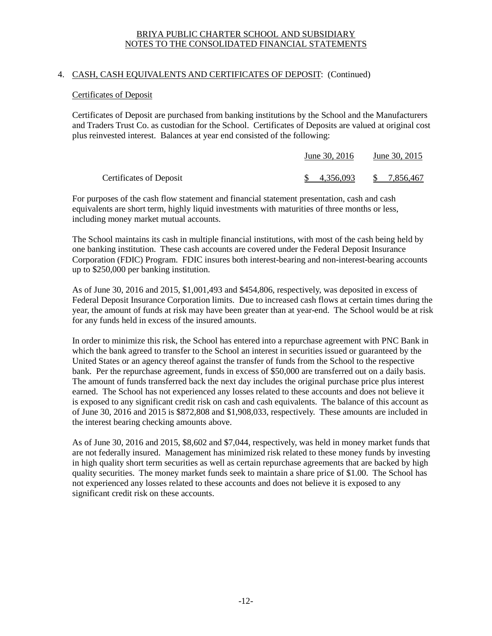## 5. ACCOUNTS, GRANTS, AND INTEREST RECEIVABLE:

Accounts, grants, and interest receivable are considered to be fully collectible by management. Balances as of June 30, 2016 and 2015 consisted of the following:

|                                                         | June 30, 2016 |    | June 30, 2015  |
|---------------------------------------------------------|---------------|----|----------------|
| Accounts Receivable:                                    |               |    |                |
| Per Pupil Funding                                       | \$<br>12,834  | \$ | 12,170         |
| Interest                                                | 5,212         |    | 6,803          |
| Mary's Center Reimbursement                             | 47            |    | 5,138          |
| Other                                                   | 558           |    | <u>1,341</u>   |
| Total                                                   | 18,651        |    | 25,452         |
| Grants:                                                 |               |    |                |
| School Technologies Fund                                | \$            | \$ | 12,503         |
| National School Lunch Program                           | 8,873         |    | 2,433          |
| <b>Healthy Schools Act</b>                              | 496           |    | 141            |
| <b>Community Schools</b>                                | 19,367        |    | 26,388         |
| <b>Charter School Planning and Implementation Grant</b> |               |    |                |
| (Title Vb)                                              |               |    | 7,637          |
| Scholarship for Opportunity and Results Act (SOAR)      | 127,537       |    | 219,414        |
| Total                                                   | \$<br>56,273  |    | <u>268,516</u> |

The School's accounts and grants receivable consists of unsecured amounts due from public funding sources whose ability to pay is subject to changes in general economic conditions. The School performs ongoing credit evaluations of its funding sources and generally does not require collateral. The School was at credit risk due to the type of organization for the balance of the accounts and grants receivable as of June 30, 2016 and 2015.

Accounts, grants and interest receivable are stated at the amount management expects to collect from outstanding balances. Management provides for probable uncollectible amounts through a provision for bad debt expense and an adjustment to a valuation allowance based on its assessment of the current status of individual accounts. Balances that are still outstanding after management has used reasonable collection efforts are written off through a charge to the valuation allowance and a credit to accounts or grants receivable.

Trade receivables related to program service fees are recognized as revenue on the accrual basis of accounting at the time the program activity has occurred. Credit is extended for a period of 60 days with no interest accrual at which time payment is considered delinquent. Trade receivables are written off as uncollectible when payment has not been received after 180 days.

Contributions are recognized when the donor makes a promise to give that is, in substance, unconditional. Promises to give represent amounts committed by donors that have not been received by the organization. The School uses the allowance method to determine uncollectible promises to give. There were no promises to give as of June 30, 2016.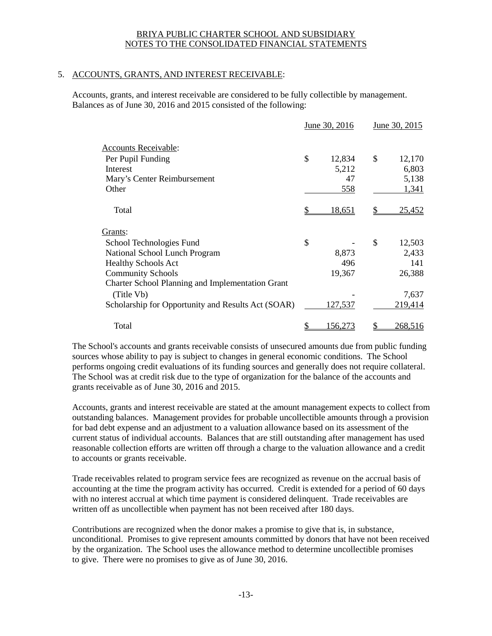#### 6. FIXED ASSETS:

Furniture and equipment, and leasehold improvements are recorded at cost and contributed property is recorded at the fair market value at the date of the contribution. If an expenditure in excess of \$1,000 results in an asset having an estimated useful life which extends substantially beyond the year of acquisition, the expenditure is capitalized at cost and depreciated or amortized over the estimated useful lives of the assets. When assets are retired or otherwise disposed of, the cost and related accumulated depreciation or amortization is removed from the accounts and any other resulting gain or loss is reflected in revenues for the period. Depreciation and amortization has been provided on the straight-line method over the estimated useful lives of the assets. Depreciation and amortization expense for the years ended June 30, 2016 and 2015 was \$143,336 and \$149,525, respectively. Maintenance and repairs are charged to expenses as incurred. As of June 30, 2016, Construction in Progress consists of building costs for a school building project that Briya Public Charter School is undertaking that is expected to be completed in the year ended June 30, 2017. Major classifications of fixed assets and their estimated useful lives are as summarized below:

| June 30, 2016                                                                                                                  | Depreciable<br>Life             | Cost                                                                 | Accumulated<br>Depreciation<br>and<br>Amortization             | Net Book<br>Value                                                             |
|--------------------------------------------------------------------------------------------------------------------------------|---------------------------------|----------------------------------------------------------------------|----------------------------------------------------------------|-------------------------------------------------------------------------------|
| Furniture and Equipment<br><b>Computers and Software</b><br>Leasehold Improvements<br><b>Construction in Progress</b><br>Total | 5 Years<br>3-5 Years<br>3 Years | \$<br>175,440<br>698,213<br>285,013<br>23,451,743<br>24,610,409<br>S | $\mathcal{S}$<br>117,004<br>314,549<br>238,828<br>670,381<br>S | $\mathcal{S}$<br>58,436<br>383,664<br>46,185<br>23,451,743<br>23,940,028<br>S |
| June 30, 2015                                                                                                                  | Depreciable<br>Life             | Cost                                                                 | Accumulated<br>Depreciation<br>and<br>Amortization             | Net Book<br>Value                                                             |
| Furniture and Equipment<br><b>Computers and Software</b><br>Leasehold Improvements<br><b>Construction in Progress</b>          | 5 Years<br>3-5 Years<br>3 Years | \$<br>130,649<br>324,354<br>285,013<br>279,759                       | $\mathcal{S}$<br>95,937<br>262,677<br>236,981                  | \$<br>34,712<br>61,677<br>48,032<br>279,759                                   |
| Total                                                                                                                          |                                 | ,019,775<br>S                                                        | 595,595                                                        | 424,180                                                                       |

## 7. CAPITAL LEASE - LEASEHOLD AND CAPITAL LEASE PAYABLE:

On November 1, 2010, Briya Public Charter School entered into a 30-year lease with Mary's Center for Maternal and Child Care, Inc., for approximately 7,735 square feet located at 3910 Georgia Avenue, NW, Washington, DC. Rent for approximately 1,215 square feet of space has been abated at the present time. Rent is at a fixed rate of \$15 per square foot in year one and shall increase one percent (1%) each subsequent year over the previous year's rate per square foot per year. The commencement date of this lease was July 1, 2011. The lease may be terminated by a written notice of intent to terminate at least six months prior to the date desired and written consent by the landlord. The School has the option to buy in ten years.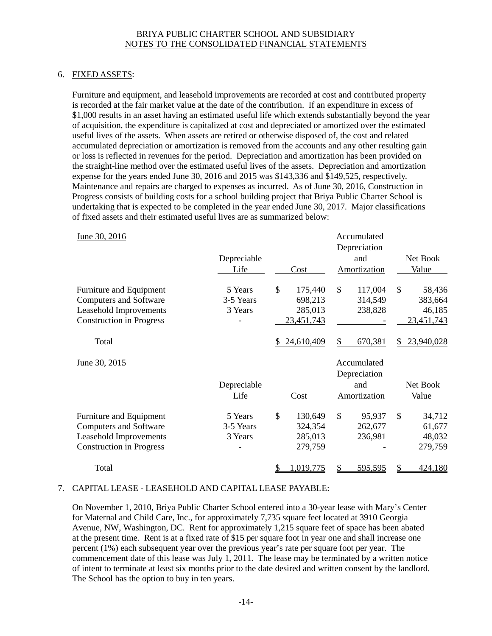## 7. CAPITAL LEASE - LEASEHOLD AND CAPITAL LEASE PAYABLE: (Continued)

The School contributed \$374,000 towards the design and construction of leasehold improvements and \$171,640 to the cost of equipping and furnishing the premises. On July 1, 2011, the cost value of the capital lease was \$2,056,499. This amount includes the total lease payments of \$1,682,499 and \$374,000 for the design and construction. The lease has been capitalized and is being amortized over 30 years beginning on July 1, 2011. The capital lease is summarized as follows:

| June 30, 2016              | Life of Lease |     | Cost      |    | Accumulated<br>Amortization |     | <b>Book</b><br>Value |
|----------------------------|---------------|-----|-----------|----|-----------------------------|-----|----------------------|
| Leasehold - Georgia Avenue | 30 Years      | \$. | 2,056,499 | \$ | 342,749                     | \$. | 1,713,750            |
| June 30, 2015              | Life of Lease |     | Cost      |    | Accumulated<br>Amortization |     | <b>Book</b><br>Value |
| Leasehold - Georgia Avenue | 30 Years      | \$  | 2,056,499 | S  | 274,200                     |     | 1,782,299            |

The capital lease payable in the original amount of \$1,682,498 consists of the total lease payments per the agreement of \$3,401,963 less a net present value discount of 5% over 30 years of \$1,719,465. The unpaid balance as of June 30, 2016 and 2015 was \$1,596,552 and \$1,617,451, respectively. Total payments made in the current year of \$101,771 resulted in a reduction of the capital lease payable by \$20,899 and recognition of imputed interested of \$80,872.

#### 8. DEPOSIT

As of June 30, 2016, the deposit amount of \$473,251 consists of a \$325,000 advance paid for the contracted staff costs that are billed to the School on a monthly basis. The amount also includes a \$60,000 security deposit for the use of AnyBill, deposits of \$85,376 related to construction in progress and fixed asset purchases, \$2,800 for a security deposit on a leased storage space and a \$75 field trip reservation. As of June 30, 2015, \$225,000 was also on deposit for contracted staff costs, along with the \$2,800 deposit for leased storage space and a \$75 field trip reservation.

#### 9. LOAN COSTS:

Loan origination fees and other expenses incurred to acquire loans are capitalized and amortized on a straight-line basis over the life of the loan, which is thirty (30) years. There was no amortization expense related to these loan fees for the years ended June 30, 2016 and 2015. Amortization of these costs is expected to begin during the year ended June 30, 2017. Loan costs as of June 30, 2016, are \$447,277.

#### 10. LOANS PAYABLE:

On April 5, 2016, Mamie D. Lee, LLC, entered into a loan agreement with Bank of America, which can be drawn down in the total amount of \$24,201,000. The purpose of this loan is for a school building construction project located at 100 Gallatin Street, NE, Washington, DC, which is in progress at June 30, 2016. The loan bears interest which is calculated using the LIBOR Daily Floating Rate (3.9603% as of June 30, 2016). Interest payments are scheduled to commence on September 1, 2016, and will continue on the first business day of each December, March, June and September thereafter. Principal payments will begin on October 5, 2017, and will be payable quarterly until the loan is paid in full. The amount drawn down and outstanding balance on this loan at June 30, 2016, was \$5,846,138.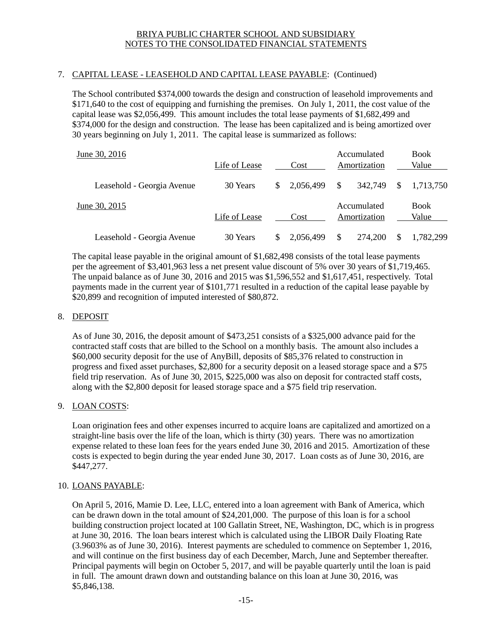#### 10. LOANS PAYABLE: (Continued)

This loan agreement contains covenants and restrictions. As of June 30, 2016, the LLC met the loan covenants. The commitments related to this loan at June 30, 2016, were as follows:

| Year Ending June 30, | Total         | Principal        | Interest |                  |  |  |
|----------------------|---------------|------------------|----------|------------------|--|--|
| 2017                 | \$<br>231,525 | \$<br>-          | \$       | 231,525          |  |  |
| 2018                 | 442,549       | 211,024          |          | 231,525          |  |  |
| 2019                 | 520,327       | 297,160          |          | 223,167          |  |  |
| 2020                 | 527,673       | 316,274          |          | 211,399          |  |  |
| 2021                 | 535,491       | 336,617          |          | 198,874          |  |  |
| Thereafter           | 5,779,159     | 4,685,063        |          | 1,094,096        |  |  |
| <b>Totals</b>        | 8.036.724     | <u>5,846,138</u> |          | <u>2,190,586</u> |  |  |

These commitments will change during the year ended June 30, 2017, as additional loan proceeds will be drawn down as the construction project continues.

On April 5, 2016, Mamie D. Lee, LLC, entered into a loan agreement with the Low Income Investment Fund, which can by drawn down in the total amount of \$2,008,000. The loan bears interest at a rate of 5.875%. Interest payments will commence on November 1, 2016, and will continue each month thereafter. Principal payments are scheduled to begin on October 1, 2017, and shall be payable monthly until the loan is paid in full. The amount drawn down and outstanding balance on this loan at June 30, 2016, was \$1,961,155. This loan agreement contains covenants and restrictions. As of June 30, 2016, the LLC met the loan covenants. The commitments related to this loan at June 30, 2016, were as follows:

| Year Ending June 30, | Total        | Principal | Interest |           |  |  |  |
|----------------------|--------------|-----------|----------|-----------|--|--|--|
| 2017                 | \$<br>78,647 | \$<br>-   | \$       | 78,647    |  |  |  |
| 2018                 | 136,395      | 18,790    |          | 117,605   |  |  |  |
| 2019                 | 142,537      | 26,374    |          | 116,163   |  |  |  |
| 2020                 | 142,537      | 27,965    |          | 114,572   |  |  |  |
| 2021                 | 142,537      | 29,653    |          | 112,884   |  |  |  |
| Thereafter           | 3,694,750    | 1,858,373 |          | 1,836,377 |  |  |  |
| <b>Totals</b>        | 4,337,403    | ,961,155  |          | 2,376,248 |  |  |  |

These commitments will change during the year ended June 30, 2017, as additional loan proceeds will be drawn down as the construction project continues.

#### 11. DISTRICT OF COLUMBIA PUBLIC CHARTER SCHOOL BOARD CONTRACT:

The School has been approved by the District of Columbia Public Charter School Board (DCPCSB) to operate a charter school in the District of Columbia. The contract dated July 1, 2006, provides for a 15-year charter, unless sooner terminated in accordance with the contract. As part of the agreement with the DCPCSB, the School may be charged a public charter school fee, which is not to exceed one percent of the total revenues (less philanthropic and investment revenues) within the annual budget to cover the costs of undertaking the ongoing administrative responsibilities to the Board. For the year ended June 30, 2016, the School incurred \$73,165 in administrative fees.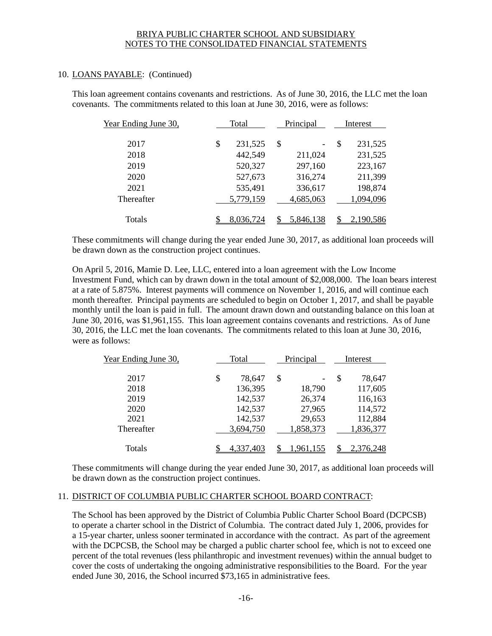#### 12. PER-PUPIL FUNDING ALLOCATION:

The School receives local funding from the District of Columbia in the form of per-pupil educational allotments and facility allotments. This funding is based on the equivalent number of full-time students and is determined annually. The number of equivalent full-time students for the year ended June 30, 2016 and 2015 was 497 and 492, respectively. Per-pupil funding for the years ended June 30, 2016 and 2015 were as follows:

|                              | June 30, 2016 | June 30, 2015 |
|------------------------------|---------------|---------------|
| Pre-School                   | \$<br>407,017 | \$<br>445,175 |
| Pre-Kindergarten             | 160,415       | 135,736       |
| Adult                        | 3,818,442     | 3,767,754     |
| <b>Special Education</b>     | 90,916        | 75,425        |
| English as a Second Language | 251,158       | 233,381       |
| Summer School                |               | 309,281       |
| At Risk                      | 43,659        | 33,265        |
| <b>Facilities Allowance</b>  | 1,552,628     | 1,511,424     |
| Total                        | 6,324,235     | 6.511.441     |

#### 13. FEDERAL ENTITLEMENTS AND GRANTS:

During the years ended June 30, 2016 and 2015, the School participated in the following federal award programs:

|                                                                                    |   | June 30, 2016 |     | June 30, 2015 |
|------------------------------------------------------------------------------------|---|---------------|-----|---------------|
| Department of Education - IDEA, Part B<br>Department of Education - Charter School | S | 1.615         | \$. | 3,205         |
| Dissemination Grant (Title V, Part B)                                              |   | 2,982         |     | 38,146        |
| National School Lunch and Breakfast Program                                        |   | 30,321        |     | 29,083        |
| Scholarship for Opportunity and Results Act (SOAR)                                 |   | 1,014,870     |     | 401,602       |
| Fruit and Vegetable Program                                                        |   | 571           |     | 798           |
| Total                                                                              |   |               |     |               |

#### 14. OPERATING AND CAPITAL LEASE COMMITMENTS:

The School entered into an amended lease agreement with the Mary's Center for Maternal  $\&$ Childcare, Inc., effective for a one-year period commencing on August 16, 2010, and ending on August 15, 2011, for the rental of 4,171 square feet of space in a building located at 2355 Ontario Road, NW and 1707 Kalorama Road, NW, Washington, DC. This lease calls for monthly lease payments of \$10,080. The School renewed the lease terms through July 31, 2017. The cost per square foot is \$29. The cost of these facilities was \$120,960 for each of the years ended June 30, 2016 and 2015.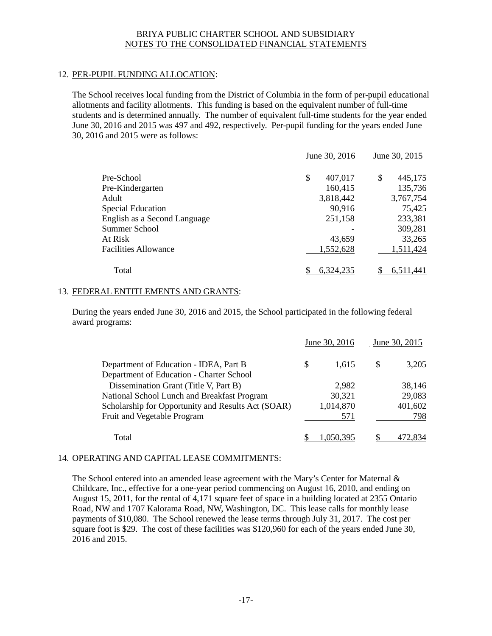#### 14. OPERATING AND CAPITAL LEASE COMMITMENTS: (Continued)

On September 1, 2011, the School entered into a lease agreement with the Mary's Center for Maternal and Childcare, Inc., for five years commencing on September 1, 2011, for 2,220 square feet of additional space at 2355 Ontario Road, NW, and 1707 Kalorama Road, NW at \$21 per square foot. The payments increase by one percent (1%) each subsequent year over the previous year's rate. The lease currently calls for monthly lease payments of \$4,043. The lease expires on August 31, 2017. The cost of these facilities was \$48,433 and \$47,952 for the years ended June 30, 2016 and 2015, respectively.

On September 23, 2013, the School entered into a joint lease agreement with Jacqueline L. Bennett for the rental of storage space and internship housing located at 1726 Newton Street, NW. The lease was renewed on September 1, 2015. The lease, jointly entered with a Briya Education Fellow, is for one year and calls for a monthly payment of \$3,087, reduced by \$758, which was the shared cost paid by the Briya intern as a tenant. A security deposit of \$2,800 was made as of June 30, 2016, related to this lease. Rental expense was \$29,107 and \$29,680 for the years ended June 30, 2016 and 2015, respectively.

#### Sublease Agreements:

On November 25, 2015, Mamie D. Lee, LLC, entered into a thirty (30) year (sublease) agreement with Bridges Public Charter School (a related party) to occupy a portion of a new school building located at 100 Gallatin Street, NE, Washington, DC. The lease commenced on July 1, 2016, subsequent to year end, and is scheduled to expire on June 30, 2046. The annual usage fee represents an amount equal to the number of students enrolled on each census date (every October) multiplied by the per pupil facilities allowance received from the DC Government.

Future minimum rental lease payments to be received along with the change in deferred rent over the remaining life of the lease are estimated as follows:

|                      | Rent            | Deferred         | Operating     | Rent    |            |  |
|----------------------|-----------------|------------------|---------------|---------|------------|--|
| Year Ending June 30, | Obligation      | Rent             | Expense       | Payment |            |  |
| 2017                 | \$<br>1,017,276 | \$<br>(166, 104) | \$<br>260,972 | \$      | 1,112,144  |  |
| 2018                 | 1,017,276       | (11, 485)        | 268,801       |         | 1,274,592  |  |
| 2019                 | 1,017,276       | 45,619           | 274,177       |         | 1,337,072  |  |
| 2020                 | 1,017,276       | 37,394           | 282,402       |         | 1,337,072  |  |
| 2021                 | 1,017,276       | 28,922           | 290,874       |         | 1,337,072  |  |
| Thereafter           | 25,431,904      | 65,654           | 10,923,206    |         | 36,420,764 |  |
| <b>Totals</b>        | 30,518,284      | \$               | 12,300,432    |         | 42,818,716 |  |

On November 25, 2015, Mary's Center (a related party), entered into a thirty (30) year use (sublease) agreement with Briya Public Charter School to occupy 12,000 square feet within the School's space in the w school building located at 100 Gallatin Street, NE, Washington, DC. The lease commenced on July 1, 2016, subsequent to year end, and is scheduled to expire on June 30, 2046.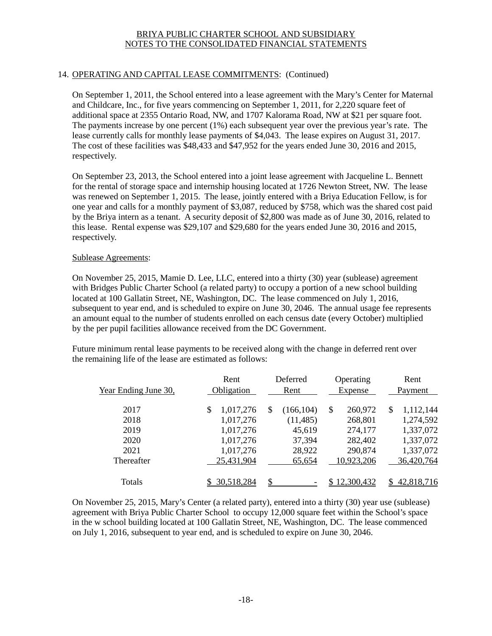#### 14. OPERATING AND CAPITAL LEASE COMMITMENTS: (Continued)

The future annual payments to be paid by Mary's Center to Briya Public Charter School are as follows:

|                      | Rent          |
|----------------------|---------------|
| Year Ending June 30, | Obligation    |
|                      |               |
| 2017                 | \$<br>146,250 |
| 2018                 | 300,000       |
| 2019                 | 307,500       |
| 2020                 | 315,188       |
| 2021                 | 323,067       |
| Thereafter           | 10,876,242    |
|                      |               |
| Totals               | 12,268,247    |

#### Donated Office Space:

The School received donated office space of approximately 4,034 square feet from the Bancroft Elementary School during the years ended June 30, 2016 and 2015. The estimated fair rental value of \$81,762 and \$79,381 has been reflected in the financial statements as rent expense for the years ended June 30, 2016 and 2015, respectively.

Mamie D. Lee, LLC, received donated real estate property from the District of Columbia during the year ended June 30, 2016. The property is located at 100 Gallatin Street, NE, Washington, DC. The building is being renovated to be used as a school building during the 16-17 school year. The estimated fair rental value of \$629,100 has been reflected in the financial statements as rent expense for the year ended June 30, 2016.

Total rental expense for the years ended June 30, 2016 and 2015 was \$282,512 and \$277,973, respectively.

#### Capital Lease:

As disclosed in Note 7 to these financial statements, the Briya Public Charter School entered into a 30-year lease with the Mary's Center for Maternal and Child Care, Inc., for approximately 7,735 square feet of space located at 3910 Georgia Avenue, NW, Washington, DC. The commitments related to this lease are included below. The future required minimum lease payments as of June 30, 2016, are as follows:

|            |                          |      |                          |               |                          |               |     | Georgia Ave |   |         |
|------------|--------------------------|------|--------------------------|---------------|--------------------------|---------------|-----|-------------|---|---------|
| Year Ended | Ontario                  |      | Kalorama                 | Newton        |                          | Georgia       |     | Rent        |   |         |
| June 30,   | Road                     | Road |                          | Road          |                          | Avenue        |     | Abatement   |   | Total   |
| 2017       | \$<br>10,080             | \$   | 8,086                    | <sup>\$</sup> | $\overline{\phantom{a}}$ | \$<br>121,943 | \$. | (19, 155)   | S | 120,954 |
| 2018       |                          |      | ٠                        |               | $\overline{\phantom{a}}$ | 123,163       |     | (19,346)    |   | 103,817 |
| 2019       | $\overline{\phantom{0}}$ |      | $\overline{\phantom{a}}$ |               | $\overline{\phantom{a}}$ | 124,395       |     | (19, 540)   |   | 104,855 |
| 2020       |                          |      | $\overline{\phantom{a}}$ |               | $\overline{\phantom{a}}$ | 125,638       |     | (19, 735)   |   | 105,903 |
| 2021       |                          |      |                          |               |                          | 126,895       |     | (19, 932)   |   | 106,963 |
| Total      | 10,080                   |      | 8,086                    |               |                          | 622,034       |     | (97,708)    |   | 542,492 |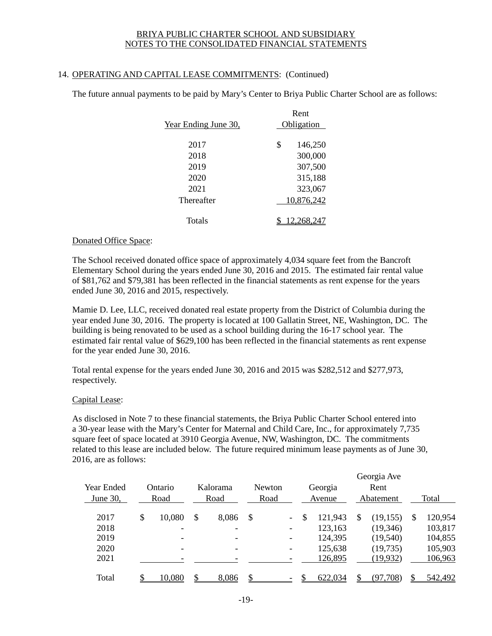## 15. FUNDRAISING:

Expenses incurred during the years ended June 30, 2016 and 2015, for purposes of fundraising were \$27,554 and \$39,816, respectively.

#### 16. RELATED PARTY TRANSACTIONS:

#### Mamie D. Lee, LLC, and Bridges Public Charter School

As described in Note 1, Briya Public Charter School and Bridges Public Charter School formed Mamie D. Lee, LLC (the LLC), which was established to lease a school building from the DC Government. This school building was renovated by the LLC in order to be subleased to Briya and Bridges Public Charter Schools for the subsequent 2016-2017 school year. These two schools, who are both  $501(c)(3)$  organizations, are the only members of the LLC. All transactions of the LLC are consolidated with the transactions of Briya Public Charter School based on controlling interests of the LLC.

On March 28, 2016, Bridges Public Charter School made an initial capital contribution of \$459,000 to Mamie D. Lee, LLC, which was their contributed capital balance as of June 30, 2016.

During the year ended June 30, 2016, the LLC entered into two separate loan agreements. The debt incurred by the LLC is guaranteed by the Charter Schools. As of June 30, 2016, the outstanding debt balance of the LLC is \$7,807,293. As of June 30, 2016, the LLC has a payable balance of \$15,000 due to Bridges Public Charter School.

#### Mary's Center for Maternal and Childcare, Inc.

Mary's Center for Maternal and Childcare, Inc., is a not-for-profit corporation. Briya Public Charter School and the Mary's Center for Maternal and Childcare, Inc., have separate independent boards of directors and all relationships between the two organizations are by contract. The School leased employees and facilities from Mary's Center for the years ended June 30, 2016 and 2015. During the year ended June 30, 2016, Mary's Center entered into a lease to lease space from Briya Public Charter School for the subsequent 2016-2017 year. The building lease agreements are noted above in Note 14. In addition, the School paid Mary's Center a human resource services management fee of \$100,000 during the years ended June 30, 2016 and 2015. Payments to Mary's Center for contracted employees amounted to \$3,563,925 and \$3,218,649, respectively, for the years ended June 30, 2016 and 2015. Payments to Mary's Center for contracted employees are made on a cost reimbursement basis the following month. Therefore, to cover a portion of the cash Mary's Center uses to pay contracted employees, the School paid Mary's Center a deposit for contracted employee costs that is reflected in Other Assets -Deposits, the balance of which was \$325,000 and 225,000 at June 30, 2016 and 2015, respectively.

#### 17. CONCENTRATIONS:

The School is dependent on funding from the District of Columbia Public School System, as authorized by the District of Columbia Public Charter School Board. During the years ended June 30, 2016 and 2015, eighty-one percent (81%) and ninety percent (90%), respectively, of total support, excluding donated services and facilities, was received from the District of Columbia for per pupil funding.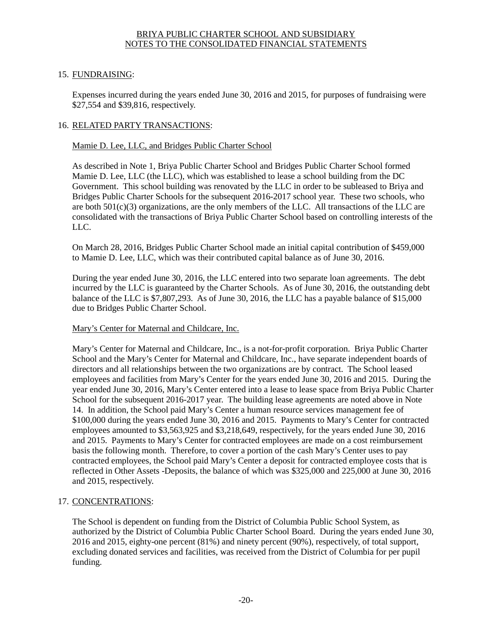#### 18. CONTINGENCIES:

The School depends on per pupil allocations, grants, and contributions for a significant portion of its revenues. The ability of the sources of revenues to continue giving amounts comparable with prior years may be dependent upon future economic conditions and continued deductibility for income tax purposes of grants and contributions to the School. While the School's board of directors and management believes the School has the resources to continue its programs, its ability to do so, and the extent to which it continues, may be dependent on the above factors.

Laws and regulations governing charter schools are complex and subject to interpretation. The School believes that it is in compliance with all applicable laws and regulations and is not aware of any pending or threatened investigations involving allegations of potential wrongdoing.

The viability of public charter schools and funding for these schools is dependent upon the consensus of current and future administration of the District of Columbia Government. Any future change in dynamics could adversely affect the operations of public charter schools.

#### 19. SUBSEQUENT EVENTS:

In preparing these financial statements, management has evaluated events and transactions for potential recognition or disclosure through November 1, 2016, the date the financial statements were available to be issued, and has determined that no adjustments are necessary to the amounts reported in the accompanying financial statements.

#### 20. OCCUPANCY COST:

The cost of occupancy for the years ended June 30, 2016 and 2015 consisted of the following:

|                                           | June 30, 2016 | June 30, 2015 |
|-------------------------------------------|---------------|---------------|
| Leasehold Amortization                    | \$<br>1,847   | \$<br>9,011   |
| Capital Lease Amortization                | 68,550        | 68,550        |
| <b>Imputed Interest Capital Lease</b>     | 80,873        | 81,819        |
| Rent, Facilities and Storage              | 200,750       | 198,592       |
| Donated Rent                              | 81,762        | 79,381        |
| <b>Cleaning and Maintenance</b>           | 131,015       | 88,403        |
| <b>Janitorial Contracted Services</b>     | 8,240         | 7,716         |
| <b>Facilities Development Consultants</b> | 11,277        |               |
| Total                                     | 584.314       | 533,472       |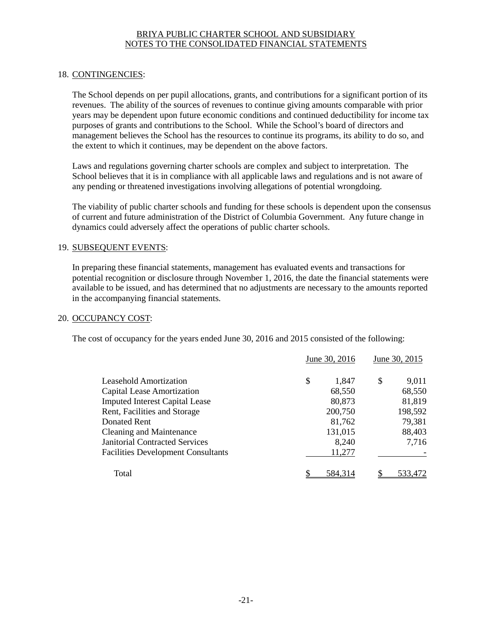#### BRIYA PUBLIC CHARTER SCHOOL AND SUBSIDIARY COMPARATIVE CONSOLIDATED SCHEDULES OF FUNCTIONAL EXPENSES FOR THE YEARS ENDED JUNE 30, 2016 AND 2015

|                                                |              |         |                         | June 30, 2016 |                               |                           |             | June 30, 2015 |           |    |                         |               |                               |              |             |
|------------------------------------------------|--------------|---------|-------------------------|---------------|-------------------------------|---------------------------|-------------|---------------|-----------|----|-------------------------|---------------|-------------------------------|--------------|-------------|
|                                                | Total        |         | Educational<br>Services |               | General and<br>Administrative |                           | Fundraising |               | Total     |    | Educational<br>Services |               | General and<br>Administrative |              | Fundraising |
| Personnel, Salaries and Benefits:              |              |         |                         |               |                               |                           |             |               |           |    |                         |               |                               |              |             |
| <b>Teacher Salaries</b>                        | $\mathbb{S}$ | 75,405  | $\mathbb{S}$<br>75,405  | $\$\,$        |                               | $\boldsymbol{\mathsf{S}}$ |             | $\mathbb{S}$  | 86,155    | \$ | 86,155                  | $\mathbb{S}$  |                               | $\mathbb{S}$ |             |
| <b>Teaching Assistant Salaries</b>             |              | 81,166  | 81,166                  |               |                               |                           |             |               | 104,975   |    | 104,975                 |               |                               |              |             |
| <b>Student Support Salaries</b>                |              | 24,263  | 24,263                  |               |                               |                           |             |               | 13,059    |    | 13,059                  |               |                               |              |             |
| <b>Front Office Salaries</b>                   |              | 49,902  | 15,973                  |               | 33,929                        |                           |             |               | 18,097    |    | 5,682                   |               | 12,415                        |              |             |
| <b>IT Salaries</b>                             |              | 22,672  | 19,601                  |               | 2,923                         |                           | 148         |               | $\sim$    |    |                         |               |                               |              |             |
| <b>Security Salaries</b>                       |              | 27,589  |                         |               | 27,589                        |                           |             |               | 14,691    |    | 11,019                  |               | 3,672                         |              |             |
| Fringe Benefits - Staff                        |              | 24,967  | 19,022                  |               | 5,945                         |                           |             |               | 21,952    |    | 20,377                  |               | 1,575                         |              |             |
| <b>Contracted Executive Salaries</b>           |              | 109,976 | 65,985                  |               | 38,492                        |                           | 5,499       |               | 115,856   |    | 69,514                  |               | 40,549                        |              | 5,793       |
| <b>Contracted Business Management Services</b> | 222,179      |         | 83,950                  |               | 133,147                       |                           | 5,082       |               | 177,676   |    | 38,121                  |               | 122,882                       |              | 16,673      |
| <b>Contracted Leadership Services</b>          | 306,562      |         | 263,650                 |               | 31,582                        |                           | 11,330      |               | 292,815   |    | 253,120                 |               | 30,466                        |              | 9,229       |
| <b>Contracted Teaching Services</b>            | 1,346,998    |         | 1,336,066               |               | 10,932                        |                           |             |               | 1,175,396 |    | 1,175,396               |               |                               |              |             |
| <b>Contracted Student Support Services</b>     | 337,476      |         | 247,414                 |               | 90,062                        |                           |             |               | 265,447   |    | 254,032                 |               | 11,415                        |              |             |
| <b>Contracted Front Office Support</b>         | 243,297      |         | 176,675                 |               | 66,622                        |                           |             |               | 238,781   |    | 212,795                 |               | 25,986                        |              |             |
| <b>Contracted Teaching Assistant Services</b>  | 528,433      |         | 528,433                 |               |                               |                           |             |               | 534,628   |    | 500,477                 |               | 34,151                        |              |             |
| Fringe Benefits - Contracted Staff             | 469,004      |         | 409,487                 |               | 56,197                        |                           | 3,320       |               | 418,050   |    | 373,694                 |               | 39,624                        |              | 4,732       |
| Program Stipends                               |              | 20,428  | 20,428                  |               |                               |                           |             |               |           |    |                         |               |                               |              |             |
| <b>Substitute Teachers</b>                     |              | 4,307   | 3,761                   |               | 516                           |                           | 30          |               | 5,909     |    | 5,282                   |               | 560                           |              | 67          |
| Temporary Contract Help                        |              | 3,110   | 2,709                   |               | 401                           |                           |             |               | 8,297     |    | 7,525                   |               | 772                           |              |             |
| <b>Staff Development Costs</b>                 |              | 86,456  | 75,309                  |               | 11,147                        |                           |             |               | 85,305    |    | 77,365                  |               | 7,940                         |              |             |
| Other Staff Related Expenses                   | 226,054      |         | 196,907                 |               | 29,147                        |                           |             |               | 104,695   |    | 94,950                  |               | 9,745                         |              |             |
| Total Personnel, Salaries and Benefits         | 4,210,244    |         | \$3,646,204             |               | 538,631                       |                           | 25,409      |               | 3,681,784 |    | \$3,303,538             |               | 341,752                       |              | 36,494      |
| <b>Direct Student Costs:</b>                   |              |         |                         |               |                               |                           |             |               |           |    |                         |               |                               |              |             |
| Student Supplies, Snacks, etc.                 | \$           | 34,706  | $\mathbb{S}$<br>34,706  | $\mathcal{S}$ |                               | $\mathcal{S}$             |             | \$            | 62,608    | \$ | 62,608                  | $\mathcal{S}$ |                               | \$           |             |
| <b>Student Assessment and Materials</b>        |              | 22,324  | 22,324                  |               |                               |                           |             |               | 17,901    |    | 17,901                  |               |                               |              |             |
| <b>Student Textbooks</b>                       |              | 7,078   | 7,078                   |               |                               |                           |             |               | 17,660    |    | 17,660                  |               |                               |              |             |
| Library and Media Materials                    |              | 146     | 146                     |               |                               |                           |             |               | 369       |    | 369                     |               |                               |              |             |
| <b>Student Uniforms</b>                        |              | 13,635  | 13,635                  |               |                               |                           |             |               | 1,961     |    | 1,961                   |               |                               |              |             |
| <b>Contracted Instructional Fees</b>           |              | 102,655 | 102,655                 |               |                               |                           |             |               | 122,726   |    | 122,726                 |               |                               |              |             |
| <b>Student Travel/Field Trips</b>              |              | 34,650  | 34,650                  |               |                               |                           |             |               | 34,010    |    | 34,010                  |               |                               |              |             |
| Food Service Fees                              |              | 41,577  | 41,577                  |               |                               |                           |             |               | 41,815    |    | 41,815                  |               |                               |              |             |
| <b>Other Student Costs</b>                     |              | 24,308  | 24,308                  |               |                               |                           |             |               | 15,548    |    | 15,548                  |               |                               |              |             |
| <b>Total Direct Student Costs</b>              | 281,079      |         | 281,079                 |               |                               |                           |             |               | 314,598   |    | 314,598                 |               |                               |              |             |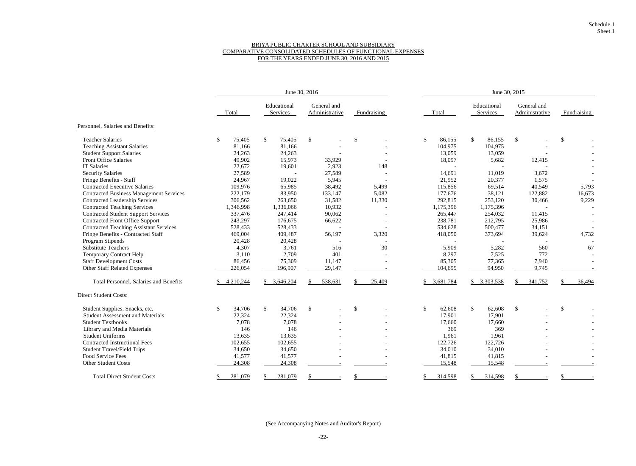#### BRIYA PUBLIC CHARTER SCHOOL AND SUBSIDIARY COMPARATIVE CONSOLIDATED SCHEDULES OF FUNCTIONAL EXPENSES FOR THE YEARS ENDED JUNE 30, 2016 AND 2015

|                                             |              |           |               | June 30, 2016           |               |                               |              | June 30, 2015            |              |             |    |                         |                           |                               |              |              |
|---------------------------------------------|--------------|-----------|---------------|-------------------------|---------------|-------------------------------|--------------|--------------------------|--------------|-------------|----|-------------------------|---------------------------|-------------------------------|--------------|--------------|
|                                             |              | Total     |               | Educational<br>Services |               | General and<br>Administrative |              | Fundraising              |              | Total       |    | Educational<br>Services |                           | General and<br>Administrative |              | Fundraising  |
| <b>Occupancy Costs:</b>                     |              |           |               |                         |               |                               |              |                          |              |             |    |                         |                           |                               |              |              |
| Amortization Leasehold Improvements         | \$           | 1,847     | $\mathcal{S}$ | 1,597                   | $\mathbb{S}$  | 238                           | $\mathbb{S}$ | 12                       | \$           | 9,011       | \$ | 8,078                   | $\mathcal{S}$             | 839                           | $\mathbb{S}$ | 94           |
| <b>Imputed Interest</b>                     |              | 80,873    |               | 80,873                  |               |                               |              |                          |              | 81,819      |    | 81,819                  |                           |                               |              |              |
| Capital Lease Amortization                  |              | 68,550    |               | 68,550                  |               |                               |              |                          |              | 68,550      |    | 68,550                  |                           |                               |              |              |
| Rent                                        |              | 282,512   |               | 244,240                 |               | 36,426                        |              | 1,846                    |              | 277,973     |    | 249,188                 |                           | 25,873                        |              | 2,912        |
| Maintenance and Custodial Salaries          |              | 105,968   |               | 80,733                  |               | 25,235                        |              |                          |              | 67,959      |    | 63,082                  |                           | 4,877                         |              |              |
| Fringe Benefits - Maintenance and Custodial |              | 17,366    |               | 13,230                  |               | 4,136                         |              | $\overline{\phantom{a}}$ |              | 9,550       |    | 8,865                   |                           | 685                           |              |              |
| Cleaning and Maintenance                    |              | 7,681     |               | 6,641                   |               | 990                           |              | 50                       |              | 10,894      |    | 9,765                   |                           | 1,014                         |              | 115          |
| <b>Contracted Building Services</b>         |              | 8,240     |               | 7,124                   |               | 1,062                         |              | 54                       |              | 7,716       |    | 6,917                   |                           | 718                           |              | 81           |
| <b>Facility Consulting Fees</b>             |              | 11,277    |               | 9,749                   |               | 1,454                         |              | 74                       |              |             |    |                         |                           |                               |              |              |
| <b>Total Occupancy Costs</b>                |              | 584,314   |               | 512,737                 |               | 69,541                        |              | 2,036                    |              | 533,472     |    | 496,264                 |                           | 34,006                        |              | 3,202        |
| Office Expenses:                            |              |           |               |                         |               |                               |              |                          |              |             |    |                         |                           |                               |              |              |
| Office Supplies and Materials               | $\mathbb{S}$ | 58,569    | $\mathbb{S}$  | 51,017                  | $\mathbb{S}$  | 7,552                         | \$           |                          | $\mathbb{S}$ | 41,994      | \$ | 38,085                  | $\boldsymbol{\mathsf{S}}$ | 3,909                         | \$           |              |
| <b>Equipment Rental and Maintenance</b>     |              | 2,348     |               | 2,046                   |               | 302                           |              |                          |              | 2,381       |    | 2,159                   |                           | 222                           |              |              |
| Telephone and Telecommunications            |              | 14,895    |               | 12,877                  |               | 1,921                         |              | 97                       |              | 10,119      |    | 9,071                   |                           | 942                           |              | 106          |
| Postage, Shipping and Delivery              |              | 1,174     |               | 1,015                   |               | 151                           |              | $8\phantom{.}$           |              | 500         |    | 449                     |                           | 46                            |              | 5            |
| Printing and Duplication                    |              | 536       |               | 463                     |               | 69                            |              | $\overline{4}$           |              | 770         |    | 690                     |                           | 71                            |              | $\mathbf{Q}$ |
| <b>Total Office Expenses</b>                |              | 77,522    |               | 67,418                  |               | 9,995                         |              | 109                      |              | 55,764      |    | 50,454                  |                           | 5,190                         |              | 120          |
| <b>General Expenses:</b>                    |              |           |               |                         |               |                               |              |                          |              |             |    |                         |                           |                               |              |              |
| Insurance                                   | \$           | 19,687    | $\mathcal{S}$ | 17,148                  | $\mathcal{S}$ | 2,539                         | \$           |                          | \$           | 21,067      | \$ | 19,106                  | $\sqrt{3}$                | 1,961                         | \$           |              |
| Administrative Fee                          |              | 73,165    |               | $\sim$                  |               | 73,165                        |              |                          |              | 72,323      |    |                         |                           | 72,323                        |              |              |
| <b>Management Fees</b>                      |              | 100,000   |               | 87,106                  |               | 12,894                        |              |                          |              | 100,000     |    | 90,692                  |                           | 9,308                         |              |              |
| Accounting, Auditing and Payroll            |              | 118,912   |               | 76,011                  |               | 42,901                        |              |                          |              | 97,200      |    | 72,553                  |                           | 24,647                        |              |              |
| Legal Fees                                  |              | 35,200    |               | 21,951                  |               | 13,249                        |              |                          |              |             |    |                         |                           |                               |              |              |
| <b>Computer Support Fees</b>                |              | 173,432   |               | 151,070                 |               | 22,362                        |              |                          |              | 113,391     |    | 102,837                 |                           | 10,554                        |              |              |
| <b>Other Professional Fees</b>              |              | 86,171    |               | 75,061                  |               | 11,110                        |              |                          |              | 43,811      |    | 39,733                  |                           | 4,078                         |              |              |
| <b>Business Fees and Dues</b>               |              | 13,438    |               | 11,705                  |               | 1,733                         |              |                          |              | 16,288      |    | 14,772                  |                           | 1,516                         |              |              |
| Other Expenses                              |              | 48,383    |               | 42,145                  |               | 6,238                         |              |                          |              | 4,279       |    | 3,882                   |                           | 397                           |              |              |
| Depreciation and Amortization               |              | 72,939    |               | 52,658                  |               | 20,281                        |              |                          |              | 71,964      |    | 52,642                  |                           | 19,322                        |              |              |
| <b>Total General Expenses</b>               |              | 741,327   |               | 534,855                 |               | 206,472                       |              |                          |              | 540,323     |    | 396,217                 | \$.                       | 144,106                       |              |              |
| TOTAL FUNCTIONAL EXPENSES                   |              | 5,894,486 |               | \$5,042,293             |               | 824,639                       |              | 27,554                   |              | \$5,125,941 |    | \$4,561,071             | S.                        | 525,054                       |              | 39,816       |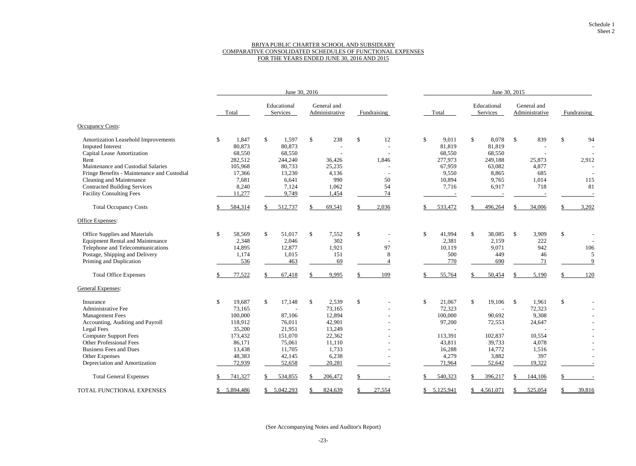## BRIYA PUBLIC CHARTER SCHOOL AND SUBSIDIARY COMPARATIVE CONSOLIDATING STATEMENTS OF FINANCIAL POSITION FOR THE YEARS ENDED JUNE 30, 2016 AND 2015

|                                                               |                                       | June 30, 2016            |                                               |                           |                                | June 30, 2015            |                          |                                |  |  |
|---------------------------------------------------------------|---------------------------------------|--------------------------|-----------------------------------------------|---------------------------|--------------------------------|--------------------------|--------------------------|--------------------------------|--|--|
|                                                               | Briya Public<br><b>Charter School</b> | Mamie D. Lee, LLC        | Elimination                                   | Total                     | Briya Public<br>Charter School | Mamie D. Lee, LLC        | Elimination              | Total                          |  |  |
| <b>ASSETS</b>                                                 |                                       |                          |                                               |                           |                                |                          |                          |                                |  |  |
| <b>Current Assets:</b>                                        |                                       |                          |                                               |                           |                                |                          |                          |                                |  |  |
| Cash and Cash Equivalents                                     | 2,620,018<br><sup>S</sup>             | \$<br>2,592              | \$<br>$\overline{\phantom{a}}$                | 2,622,610<br>$\mathbb{S}$ | <sup>\$</sup><br>2,921,743     | $\mathbb{S}$             | -8                       | 2,921,743<br>-S                |  |  |
| <b>Certificates of Deposit</b>                                | 4,356,093                             |                          | $\overline{\phantom{a}}$                      | 4,356,093                 | 7,856,467                      |                          |                          | 7,856,467                      |  |  |
| Accounts and Interest Receivable                              | 92,307                                | $\overline{a}$           | (73, 656)                                     | 18,651                    | 25,452                         |                          |                          | 25,452                         |  |  |
| <b>Grants Receivable</b>                                      | 156,273                               |                          | $\sim$                                        | 156,273                   | 268,516                        |                          |                          | 268,516                        |  |  |
| Prepaid Expenses                                              | 190,132                               |                          |                                               | 190,132                   | 67,235                         |                          |                          | 67,235                         |  |  |
| <b>Total Current Assets</b>                                   | \$7,414,823                           | 2,592                    | (73, 656)                                     | \$7,343,759               | \$11,139,413                   |                          |                          | \$11,139,413                   |  |  |
| <b>Fixed Assets:</b>                                          |                                       |                          |                                               |                           |                                |                          |                          |                                |  |  |
| Furniture, Equipment and Computers                            | 790,211<br>S.                         | \$<br>83,442             | \$                                            | \$<br>873,653             | 455,003<br>-\$                 | $\mathbb{S}$             | -\$                      | 455,003<br>- \$                |  |  |
| Accumulated Depreciation - Furniture, Equipment and Computers | (431, 553)                            |                          |                                               | (431, 553)                | (358, 614)                     |                          |                          | (358, 614)                     |  |  |
| Leasehold Improvements                                        | 285,013                               |                          |                                               | 285,013                   | 285,013                        |                          |                          | 285,013                        |  |  |
| Accumulated Amortization - Leasehold Improvements             | (238, 828)                            |                          |                                               | (238, 828)                | (236,981)                      |                          |                          | (236,981)                      |  |  |
| Construction in Progress                                      |                                       | 23,451,743               |                                               | 23,451,743                | $\equiv$                       | 279,759                  |                          | 279,759                        |  |  |
| <b>Total Fixed Assets</b>                                     | 404,843                               | \$23,535,185             | $\sim$                                        | \$23,940,028              | 144,421                        | 279,759                  | $\sim$                   | 424,180                        |  |  |
| Capital Lease:                                                |                                       |                          |                                               |                           |                                |                          |                          |                                |  |  |
| Leasehold - Georgia Avenue                                    | 2,056,499<br>-S                       | \$                       | \$                                            | 2,056,499<br>\$           | 2,056,499<br>-\$               | <sup>\$</sup>            | $\mathcal{S}$            | 2,056,499<br><sup>\$</sup>     |  |  |
| Accumulated Amortization - Capital Lease                      | (342,749)                             |                          |                                               | (342,749)                 | (274,200)                      |                          |                          | (274, 200)                     |  |  |
| <b>Total Capital Leases</b>                                   | $\frac{$}{9}$ 1,713,750               |                          | $\sim$ $-$                                    | \$1,713,750               | 1,782,299                      |                          | $\sim$ $-$               | \$1,782,299                    |  |  |
| Other Assets:                                                 |                                       |                          |                                               |                           |                                |                          |                          |                                |  |  |
| Investment in Affiliate                                       | 5,600,000<br><sup>\$</sup>            | \$                       | \$ (5,600,000)                                | \$                        | 279,759<br>-\$                 | \$                       | \$<br>(279, 759)         | \$<br>$\overline{\phantom{a}}$ |  |  |
| Deposits                                                      | 384,595                               | 88,656                   |                                               | 473,251                   | 227,875                        |                          | $\overline{\phantom{a}}$ | 227,875                        |  |  |
| Loan Costs                                                    |                                       | 447,277                  |                                               | 447,277                   |                                |                          |                          |                                |  |  |
| <b>Total Other Assets</b>                                     | \$5,984,595                           | 535,933                  | \$ (5,600,000)                                | 920,528<br>S.             | 507,634                        | $\sim$ $-$               | (279, 759)               | 227,875                        |  |  |
| TOTAL ASSETS                                                  | \$15,518,011                          | \$24,073,710             | \$ (5,673,656)                                | \$ 33,918,065             | \$13,573,767                   | 279,759                  | (279, 759)               | \$13,573,767                   |  |  |
| <b>LIABILITIES AND NET ASSETS</b>                             |                                       |                          |                                               |                           |                                |                          |                          |                                |  |  |
| <b>Current Liabilities:</b>                                   |                                       |                          |                                               |                           |                                |                          |                          |                                |  |  |
| <b>Accounts Payable</b>                                       | 201,236<br><sup>S</sup>               | \$10,154,882             | (73, 656)<br>\$                               | \$10,282,462              | 231,088<br>-\$                 | $\mathbb{S}$             | -\$                      | 231,088<br>-\$                 |  |  |
| Accrued Salaries and Expenses                                 | 276,599                               |                          | $\overline{\phantom{a}}$                      | 276,599                   | 288,310                        |                          |                          | 288,310                        |  |  |
| <b>Interest Payable</b>                                       | $\overline{a}$                        | 28,857                   | $\overline{\phantom{a}}$                      | 28,857                    | $\overline{\phantom{a}}$       |                          |                          |                                |  |  |
| Deposits Held for Others                                      | 759                                   |                          |                                               | 759                       | $\overline{\phantom{a}}$       |                          |                          |                                |  |  |
| Capital Lease - Current Portion                               | 19,155                                |                          |                                               | 19,155                    | 18,965                         |                          |                          | 18,965                         |  |  |
| <b>Total Current Liabilities</b>                              | 497,749                               | \$10,183,739             | (73,656)                                      | \$10,607,832              | 538,363                        |                          |                          | 538,363                        |  |  |
| Long-term Liabilities:                                        |                                       |                          |                                               |                           |                                |                          |                          |                                |  |  |
| Capital Lease                                                 | 1,596,552<br>$\mathbb{S}$             | \$                       | \$<br>$\sim$                                  | \$1,596,552               | \$1,617,451                    | $\mathbb{S}$             | $\mathcal{S}$            | \$1,617,451                    |  |  |
| Less: Current Portion                                         | (19, 155)                             |                          |                                               | (19, 155)                 | (18,965)                       |                          |                          | (18,965)                       |  |  |
| Loans Payable                                                 | $\sim$ $-$                            | 7,807,293                | $\sim$ $\sim$                                 | 7,807,293                 |                                | $\overline{\phantom{a}}$ |                          |                                |  |  |
| Total Long-term Liabilities                                   | \$1,577,397                           | \$7,807,293              | $\mathbb{S}^-$<br>$\sim$ 100 $\sim$ 100 $\pm$ | \$9,384,690               | \$1,598,486                    | \$<br>$\sim$             | $\sim$ $-$               | \$1,598,486                    |  |  |
| <b>Total Liabilities</b>                                      | $\frac{$}{2,075,146}$                 | \$17,991,032             | \$ (73,656)                                   | \$19,992,522              | $\frac{$}{2,136,849}$          | $\sim$ $\sim$            | $\sim$ $-$               | $\frac{$}{2,136,849}$          |  |  |
| Net Assets:                                                   |                                       |                          |                                               |                           |                                |                          |                          |                                |  |  |
| Unrestricted                                                  | \$13,440,865                          | \$6,082,678              | \$ (5,600,000)                                | \$13,923,543              | \$11,434,918                   | 279,759<br>$\mathbb{S}$  | $\frac{1}{2}$ (279,759)  | \$11,434,918                   |  |  |
| <b>Temporarily Restricted</b>                                 | 2,000                                 | $\overline{\phantom{0}}$ | $\sim$ $\sim$                                 | 2,000                     | 2,000                          | $\sim$                   | $\sim$                   | 2,000                          |  |  |
| <b>Total Net Assets</b>                                       | \$13,442,865                          | \$6,082,678              | \$ (5,600,000)                                | \$13,925,543              | \$11,436,918                   | $\frac{$}{279,759}$      | $\frac{\$}{2}$ (279,759) | \$11,436,918                   |  |  |
|                                                               |                                       |                          |                                               |                           |                                |                          |                          |                                |  |  |
| TOTAL LIABILITIES AND NET ASSETS                              | \$15,518,011                          | \$24,073,710             | \$ (5,673,656)                                | \$ 33,918,065             | \$13,573,767                   | $\frac{$279,759}{ }$     | $\frac{(279,759)}{2}$    | \$13,573,767                   |  |  |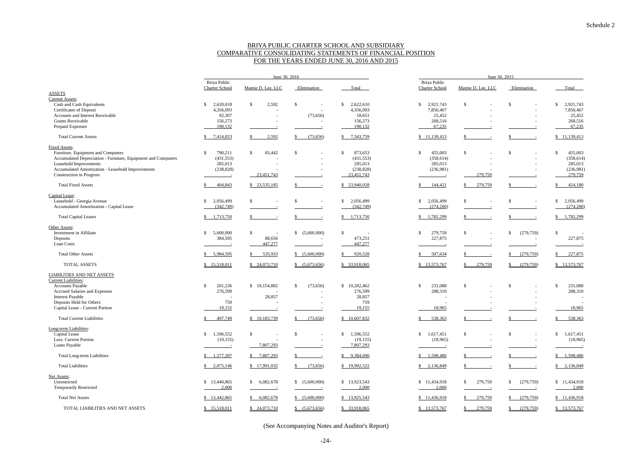## BRIYA PUBLIC CHARTER SCHOOL AND SUBSIDIARY COMPARATIVE CONSOLIDATING STATEMENTS OF ACTIVITIES FOR THE YEARS ENDED JUNE 30, 2016 AND 2015

|                                           |                                       | June 30, 2016     |                                           |                  | June 30, 2015                  |                   |                         |                           |  |  |  |
|-------------------------------------------|---------------------------------------|-------------------|-------------------------------------------|------------------|--------------------------------|-------------------|-------------------------|---------------------------|--|--|--|
|                                           | Briva Public<br><b>Charter School</b> | Mamie D. Lee, LLC | Elimination                               | Total            | Briya Public<br>Charter School | Mamie D. Lee, LLC | Elimination             | Total                     |  |  |  |
| Revenues and Other Support:               |                                       |                   |                                           |                  |                                |                   |                         |                           |  |  |  |
| Tuition - Per Pupil Funding Allocation    | 4,771,607<br><sup>\$</sup>            | $\mathcal{S}$     | $\mathcal{S}$<br>$\overline{\phantom{a}}$ | 4,771,607<br>\$. | \$<br>5,000,017                | $\mathbb{S}$      | <sup>\$</sup>           | 5,000,017<br>$\mathbb{S}$ |  |  |  |
| Tuition - Per Pupil Facilities Allocation | 1,552,628                             |                   |                                           | 1,552,628        | 1,511,424                      |                   |                         | 1,511,424                 |  |  |  |
| Federal Entitlements and Grants           | 1,050,395                             |                   |                                           | 1,050,395        | 472,834                        |                   |                         | 472,834                   |  |  |  |
| <b>State Government Grants</b>            | 302,501                               |                   |                                           | 302,501          | 176,210                        |                   |                         | 176,210                   |  |  |  |
| Private Grants and Contributions          | 43,066                                |                   |                                           | 43,066           | 35,921                         |                   |                         | 35,921                    |  |  |  |
| <b>Student Fees</b>                       | 14,721                                |                   |                                           | 14,721           |                                |                   |                         |                           |  |  |  |
| Donated Services, Facilities, Etc.        | 83,862                                | 46,959            |                                           | 130,821          | 79,431                         |                   |                         | 79,431                    |  |  |  |
| Interest                                  | 55,520                                |                   |                                           | 55,520           | 66,738                         |                   |                         | 66,738                    |  |  |  |
| <b>Other Revenues</b>                     | 2,852                                 |                   |                                           | 2,852            | 1,335                          |                   |                         | 1,335                     |  |  |  |
| Net Assets Released from Restrictions     |                                       |                   |                                           |                  |                                |                   |                         |                           |  |  |  |
| (Satisfaction of Program Restrictions)    |                                       |                   |                                           |                  |                                |                   |                         |                           |  |  |  |
| <b>Total Revenues and Other Support</b>   | 7,877,152<br>-S                       | 46,959            |                                           | 7,924,111<br>-\$ | 7,343,910<br>\$                |                   |                         | 7,343,910                 |  |  |  |
| Expenses:                                 |                                       |                   |                                           |                  |                                |                   |                         |                           |  |  |  |
| <b>Educational Services</b>               | 5,042,293<br><sup>\$</sup>            | $\mathbb{S}$      | $\mathcal{S}$<br>$\blacksquare$           | \$.<br>5,042,293 | $\mathbb{S}$<br>4,561,071      | $\mathbb{S}$      | <sup>\$</sup>           | \$<br>4,561,071           |  |  |  |
| Fundraising                               | 27,554                                |                   |                                           | 27,554           | 39,816                         |                   |                         | 39,816                    |  |  |  |
| General and Administrative                | 801,358                               | 23,281            |                                           | 824,639          | 525,054                        |                   |                         | 525,054                   |  |  |  |
| <b>Total Expenses</b>                     | 5,871,205                             | 23,281            |                                           | 5,894,486        | 5,125,941<br>\$.               |                   |                         | 5,125,941                 |  |  |  |
| Changes in Net Assets                     | 2,005,947<br>-S                       | -S<br>23,678      | $\mathbb{S}$                              | 2,029,625        | \$<br>2,217,969                | <sup>\$</sup>     | $\mathcal{S}$<br>$\sim$ | 2,217,969<br>\$           |  |  |  |
| Net Assets, Beginning of Year             | 11,436,918                            | 279,759           | (279, 759)                                | 11,436,918       | 9,218,949                      |                   |                         | 9,218,949                 |  |  |  |
| <b>Member Contributions</b>               |                                       | 5,779,241         | (5,320,241)                               | 459,000          |                                | 279,759           | (279, 759)              |                           |  |  |  |
| Net Assets, End of Year                   | \$13,442,865                          | 6,082,678         | (5,600,000)<br>\$.                        | \$13,925,543     | \$11,436,918                   | 279,759           | (279, 759)              | \$11,436,918              |  |  |  |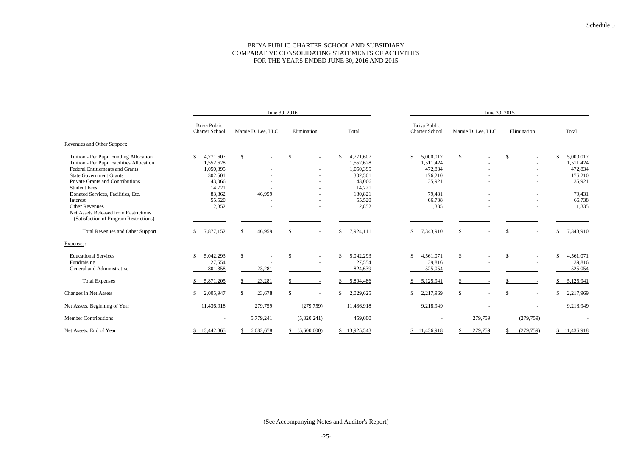#### BRIYA PUBLIC CHARTER SCHOOL AND SUBSIDIARY COMPARATIVE CONSOLIDATED SCHEDULES OF AVERAGE COST PER STUDENT FOR THE YEARS ENDED JUNE 30, 2016 AND 2015

#### June 30, 2016

|                                                            | <b>Total Cost</b> |                                |   | <b>Average Cost</b><br>Per Student |  |  |  |
|------------------------------------------------------------|-------------------|--------------------------------|---|------------------------------------|--|--|--|
| Instructional<br>General and Administrative<br>Fundraising |                   | 5,042,293<br>824,639<br>27,554 | S | 10,145<br>1,659<br>55              |  |  |  |
| Total                                                      |                   | 5.894.486                      |   | 1.859                              |  |  |  |

The above is the average per student cost for the year ended June 30, 2016, and is based on a full time equivalent (FTE) enrollment of 497 students.

#### June 30, 2015

|                                                            | <b>Total Cost</b> |                                |   | <b>Average Cost</b><br>Per Student |  |  |  |
|------------------------------------------------------------|-------------------|--------------------------------|---|------------------------------------|--|--|--|
| Instructional<br>General and Administrative<br>Fundraising | S                 | 4,561,071<br>525,054<br>39,816 | S | 9,270<br>1,067<br>81               |  |  |  |
| Total                                                      |                   | 5.125.94                       |   |                                    |  |  |  |

The above is the average per student cost for the year ended June 30, 2015, and is based on a full time equivalent (FTE) enrollment of 492 students.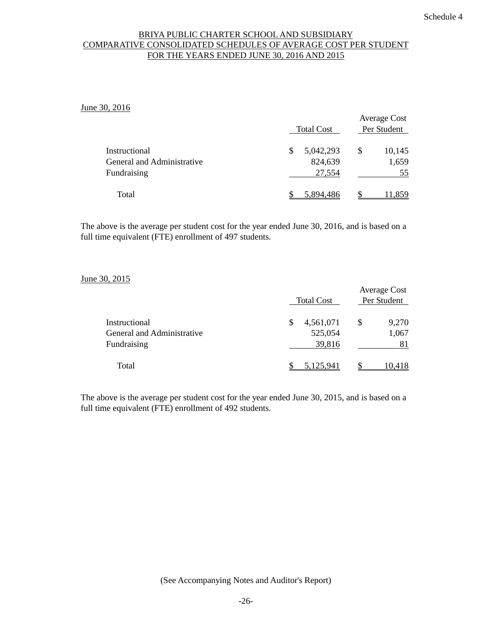#### BRIYA PUBLIC CHARTER SCHOOL AND SUBSIDIARY SCHEDULE OF EXPENDITURES OF FEDERAL AWARDS FOR THE YEAR ENDED JUNE 30, 2016

| Federal Grantor/Pass Through Grantor Program Title                                                                                                                                                                                       | Federal<br><b>CFDA</b><br>Number               | Pass-Through<br><b>Grantors Number</b>        | Program<br>or Award<br>Amount | Period of Award                                                                                                                  |    | Grant<br>Receivable<br>at $7/1/15$ |               | <b>Current Year Activity</b><br><b>Receipts</b> |               | <b>Disbursements</b><br>Expenditures |    | Grant<br>Receivable<br>at $6/30/16$ |
|------------------------------------------------------------------------------------------------------------------------------------------------------------------------------------------------------------------------------------------|------------------------------------------------|-----------------------------------------------|-------------------------------|----------------------------------------------------------------------------------------------------------------------------------|----|------------------------------------|---------------|-------------------------------------------------|---------------|--------------------------------------|----|-------------------------------------|
| U.S. Department of Education:                                                                                                                                                                                                            |                                                |                                               |                               |                                                                                                                                  |    |                                    |               |                                                 |               |                                      |    |                                     |
| Passed Through the District of Columbia:                                                                                                                                                                                                 |                                                |                                               |                               |                                                                                                                                  |    |                                    |               |                                                 |               |                                      |    |                                     |
| Title V, Part B, Charter Schools Program<br>Special Education - IDEA 611, Grants to Local Education Agencies<br>Special Education - IDEA 619, Preschool Grants to Local Education Agencies<br>DC School Choice Incentive Program (SOAR): | 84.282A<br>84.027A<br>84.173A                  | V282A100025<br>H027A150010-15A<br>H173A150006 | 59,495<br>64,210<br>3,614     | 10/25/13 to 07/01/15<br>07/01/15 to 09/30/16<br>07/01/15 to 09/30/16                                                             | -S | 7,637                              | -S            | 10,619<br>1,305<br>346                          | $\mathbb{S}$  | 2,982<br>1,305<br>346                | \$ |                                     |
| Early Childhood<br>Academic Quality Grants for Charters<br>Academic Quality Grants for Charters                                                                                                                                          | 84.370C<br>84.370C<br>84.370C                  | U370C140001<br>U370C130001<br>U370C140001     | 25,328<br>84,616<br>500,000   | $07/02/15$ to $07/10/16$<br>02/21/14 to 02/20/16<br>$07/10/15$ to $07/10/17$                                                     |    | 11,827                             |               | 25,328<br>31,862<br>91,970                      |               | 25,328<br>20,035<br>219,507          |    | 127,537                             |
| Investing in Public Facility Projects                                                                                                                                                                                                    | 84.370C                                        | U370C140001                                   | 750,000                       | $07/10/15$ to $07/10/17$                                                                                                         |    | 207,587                            |               | 957,587                                         |               | 750,000                              |    |                                     |
| Total U.S. Department of Education<br>U.S. Department of Agriculture:                                                                                                                                                                    |                                                |                                               |                               |                                                                                                                                  |    | 227,051                            |               | \$1,119,017                                     |               | \$1,019,503                          |    | 127,537                             |
| Passed Through the District of Columbia:                                                                                                                                                                                                 |                                                |                                               |                               |                                                                                                                                  |    |                                    |               |                                                 |               |                                      |    |                                     |
| <b>Donated Commodities</b><br>School Breakfast Program<br>School Breakfast Program<br>National School Lunch Program<br>National School Lunch Program                                                                                     | 10.555<br>10.553<br>10.553<br>10.555<br>10.555 | N/A<br>N/A<br>N/A<br>N/A<br>N/A               |                               | $07/01/15$ to $06/30/16$<br>07/01/15 to 06/30/16<br>$07/01/14$ to $06/30/15$<br>07/01/15 to 06/30/16<br>$07/01/14$ to $06/30/15$ | -S | $\blacksquare$<br>941<br>1,492     | $\mathcal{S}$ | 571<br>8,312<br>941<br>13,136<br>1,492          | $\mathcal{S}$ | 571<br>11,749<br>18,572              | -S | 3,437<br>5,436                      |
| Total U.S. Department of Agriculture                                                                                                                                                                                                     |                                                |                                               |                               |                                                                                                                                  |    | 2,433                              |               | 24,452                                          |               | 30,892                               |    | 8,873                               |
| <b>Total Federal Awards</b>                                                                                                                                                                                                              |                                                |                                               |                               |                                                                                                                                  |    | 229,484                            |               | \$1,143,469                                     |               | \$1,050,395                          |    | 136,410                             |

| Summary by CFDA                                                            |             |                           |  |  |
|----------------------------------------------------------------------------|-------------|---------------------------|--|--|
|                                                                            | <b>CFDA</b> | Amount of<br>Expenditures |  |  |
| Program                                                                    | Number      |                           |  |  |
| Title V, Part B, Charter Schools Program                                   | 84.282A     | \$<br>2,982               |  |  |
| Special Education - IDEA 611, Grants to Local Education Agencies           | 84.027A     | 1,305                     |  |  |
| Special Education - IDEA 619, Preschool Grants to Local Education Agencies | 84.173A     | 346                       |  |  |
| DC School Choice Incentive Program (SOAR)                                  | 84.370C     | 1,014,870                 |  |  |
| Donated Commodities                                                        | 10.555      | 571                       |  |  |
| School Breakfast Program                                                   | 10.553      | 11,749                    |  |  |
| National School Lunch Program                                              | 10.555      | 18,572                    |  |  |
| <b>Total Federal Awards</b>                                                |             | 1.050.395                 |  |  |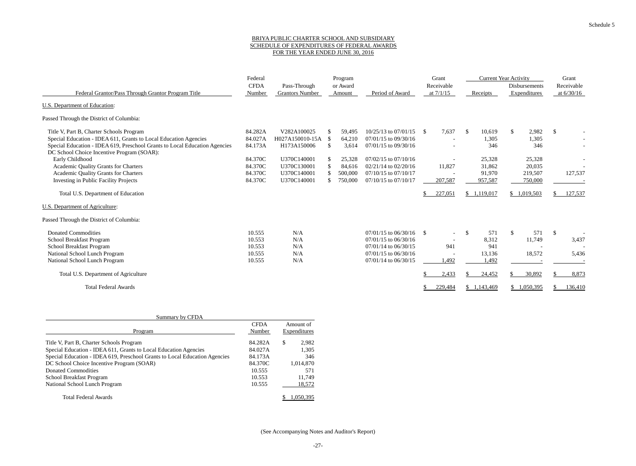#### BRIYA PUBLIC CHARTER SCHOOL AND SUBSIDIARY NOTES TO SCHEDULE OF EXPENDITURES OF FEDERAL AWARDS FOR THE YEAR ENDED JUNE 30, 2016

#### Note 1: Basis of Presentation:

The accompanying schedule of expenditures of federal awards (the Schedule) includes the federal award activity of the Briya Public Charter School and Subsidiary (the School) under programs of the federal government for the year ended June 30, 2016. The information in this Schedule is presented in accordance with the requirements of Title 2 U.S. Code of Federal Regulations Part 200, *Uniform Administrative Requirements, Cost Principles, and Audit Requirements for Federal Awards* (Uniform Guidance). Because the Schedule presents only a selected portion of the operations of the School, it is not intended to and does not present the financial position, changes in net assets, or cash flows of the School.

#### Note 2: Summary of Significant Account Policies:

Expenditures reported on the Schedule are reported on the accrual basis of accounting. Such expenditures are recognized following the cost principles contained in the Uniform Guidance, wherein certain types of expenditures are not allowable or are limited as to reimbursement.

The School has elected not to use the 10 percent de minimis indirect cost rate as allowed under the Uniform Guidance.

#### Note 3 - Major Program Selection:

The major Federal Award Programs selected for testing are as follows:

#### U.S. Department of Education

#### - DC School Choice Incentive Program (Scholarships for Opportunity and Results)

The requirements of the Uniform Guidance dictate all major programs as determined by the auditor on a risk-based approach and/or at least 40% (20% for low risk auditees) of all federal awards be subject to specific control and compliance testing. For the Briya Public Charter School and Subsidiary, the programs subject to these requirements are as listed above. The total expenditures of these programs represent 96.62% of the total federal expenditures.

| Program                                                 | <b>CFDA</b><br>Number | Amount of<br>Expenditures |
|---------------------------------------------------------|-----------------------|---------------------------|
| Title V, Part B, Charter Schools Program                | 84.282A               | \$<br>2,982               |
| Special Education - IDEA 611, Grants to Local           |                       |                           |
| <b>Education Agencies</b>                               | 84.027A               | 1,305                     |
| Special Education - IDEA 619, Preschool Grants to Local |                       |                           |
| <b>Education Agencies</b>                               | 84.173A               | 346                       |
| DC School Choice Incentive Program (SOAR)               | 84.370C               | 1,014,870*                |
| Donated Commodities                                     | 10.555                | 571                       |
| School Breakfast Program                                | 10.553                | 11,749                    |
| National School Lunch Program                           | 10.555                | 18,572                    |
| <b>Total Federal Awards</b>                             |                       | .050,395                  |

\*Denotes Major Program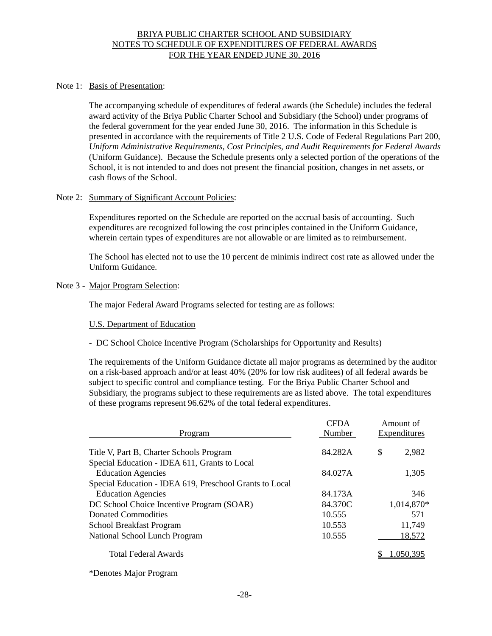#### BRIYA PUBLIC CHARTER SCHOOL AND SUBSIDIARY NOTES TO SCHEDULE OF EXPENDITURES OF FEDERAL AWARDS FOR THE YEAR ENDED JUNE 30, 2016

#### Note 4 - Food Commodities:

Nonmonetary assistance is reported in the Schedule at fair market value of the commodities received and disbursed.

#### Note 5 - Major Program Disclosure:

I. U.S. Department of Education:

## **DC School Choice Incentive Program**

Administration of Scholarships for Opportunity and Results funding is designed to increase student achievement and academic growth of District of Columbia public charter school students by supporting the creation and expansion of high-quality public charter schools. In order to accomplish this goal, the Office of State Superintendent of Education (OSSE) established two impact areas:

- Innovative funding to improve school performance and educational outcomes; and
- Effective facility financing and funding to increase the number of high-quality public charter school seats.
- 1) State System of Support Best Practices Grant

Funds reward schools for implementing best and promising practices, to foster innovation through the dissemination of these practices, and to provide funding to build effective relationships between higher-performing schools and schools in need of appropriate supports aimed at raising student achievement.

2) Increasing Academic Quality Grants

Funds support plans that have a direct and rapid impact on student proficiency rates and the success of public charter school students, either school-wide or for specific subgroups.

3) Investing in Public Facility Projects

Funds support the renovation or reconstruction of former District of Columbia Public Schools (DCPS) or other District-owned facilities released by the District for lease by public charter schools.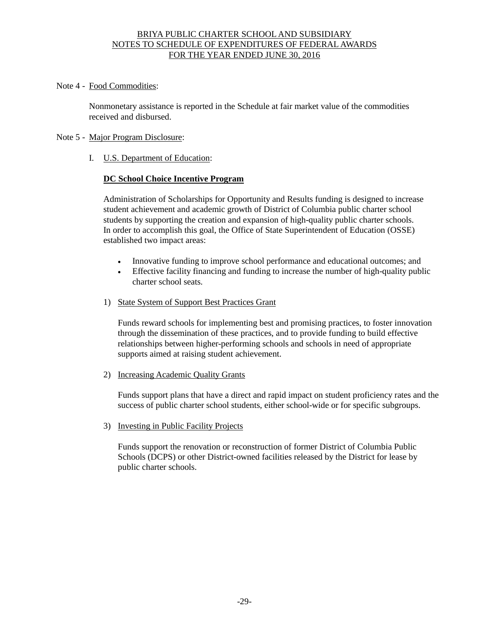Board of Directors Briya Public Charter School and Subsidiary 2333 Ontario Road NW Washington, DC 20009

## INDEPENDENT AUDITOR'S REPORT ON INTERNAL CONTROL OVER FINANCIAL REPORTING AND ON COMPLIANCE AND OTHER MATTERS BASED ON AN AUDIT OF FINANCIAL STATEMENTS PERFORMED IN ACCORDANCE WITH *GOVERNMENT AUDITING STANDARDS*

We have audited in accordance with auditing standards generally accepted in the United States of America and the standards applicable to financial audits contained in *Government Auditing Standards*, issued by the Comptroller General of the United States, the consolidated financial statements of the Briya Public Charter School and Subsidiary (the School), which comprise the statement of financial position as of June 30, 2016, and the related statements of activities and cash flows for the year then ended, and the related notes to the financial statements, and have issued our report thereon dated November 1, 2016.

#### *Internal Control Over Financial Reporting*

In planning and performing our audit of the financial statements, we considered the School's internal control over financial reporting (internal control) to determine the audit procedures that are appropriate in the circumstances for the purpose of expressing our opinion on the consolidated financial statements, but not for the purpose of expressing an opinion on the effectiveness of the School's internal control. Accordingly, we do not express an opinion on the effectiveness of the School's internal control.

A *deficiency in internal control* exists when the design or operation of a control does not allow management or employees, in the normal course of performing their assigned functions, to prevent, or detect and correct, misstatements on a timely basis. A *material weakness* is a deficiency, or a combination of deficiencies, in internal control, such that there is a reasonable possibility that a material misstatement of the entity's financial statements will not be prevented, or detected and corrected on a timely basis. A *significant deficiency* is a deficiency, or a combination of deficiencies, in internal control that is less severe than a material weakness, yet important enough to merit attention by those charged with governance.

Our consideration of internal control was for the limited purpose described in the first paragraph of this section and was not designed to identify all deficiencies in internal control that might be material weaknesses or significant deficiencies. Given these limitations, during our audit we did not identify any deficiencies in internal control that we consider to be material weaknesses. However, material weaknesses may exist that have not been identified.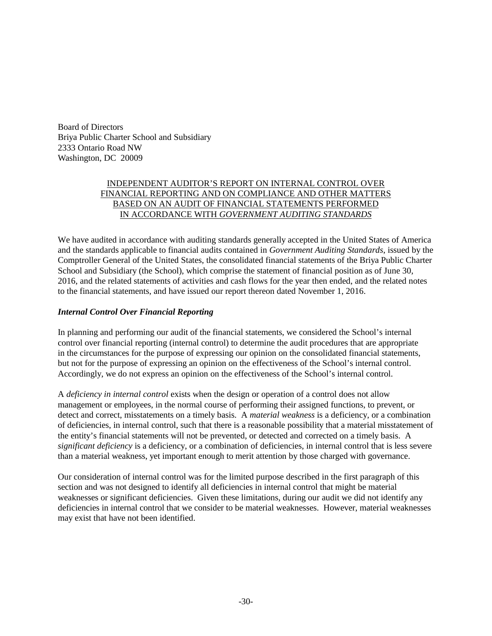#### *Compliance and Other Matters*

As part of obtaining reasonable assurance about whether the School's consolidated financial statements are free from material misstatement, we performed tests of its compliance with certain provisions of laws, regulations, contracts and grant agreements, noncompliance with which could have a direct and material effect on the determination of consolidated financial statement amounts. However, providing an opinion on compliance with those provisions was not an objective of our audit and accordingly, we do not express such an opinion. The results of our tests disclosed no instances of noncompliance or other matters that are required to be reported under *Government Auditing Standards*.

## *Purpose of this Report*

The purpose of this report is solely to describe the scope of our testing of internal control and compliance and the results of that testing, and not to provide an opinion on the effectiveness of the organization's internal control or on compliance. This report is an integral part of an audit performed in accordance with *Government Auditing Standards* in considering the organization's internal control and compliance. Accordingly, this communication is not suitable for any other purpose.

> Kendall, Prebola and Jones Certified Public Accountants

Bedford, Pennsylvania November 1, 2016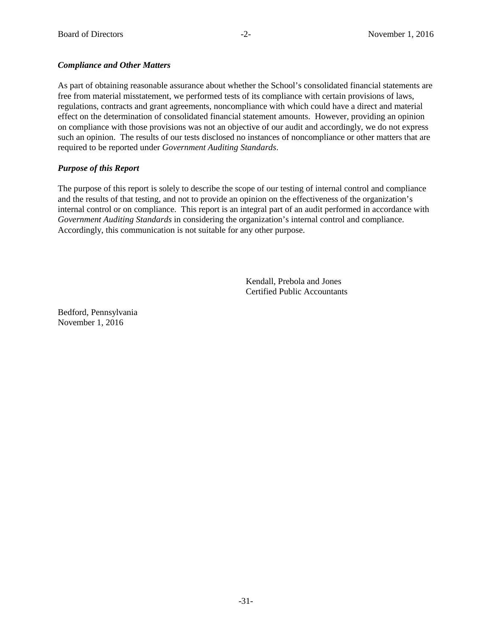Board of Directors Briya Public Charter School and Subsidiary 2333 Ontario Road NW Washington, DC 20009

#### INDEPENDENT AUDITOR'S REPORT ON COMPLIANCE FOR EACH MAJOR PROGRAM AND ON INTERNAL CONTROL OVER COMPLIANCE REQUIRED BY THE UNIFORM GUIDANCE

#### *Report on Compliance for Each Major Federal Program*

We have audited the Briya Public Charter School (a nonprofit organization) and Subsidiary's (the School) compliance with the types of compliance requirements described in the *Compliance Supplement* that could have a direct and material effect on each of the School's major federal programs for the year ended June 30, 2016. The School's major federal programs are identified in the summary of auditor's results section of the accompanying schedule of findings and questioned costs and in the notes to the Schedule of Expenditures of Federal Awards.

#### *Management's Responsibility*

Management is responsible for compliance with federal statutes, regulations, and terms and conditions of its federal awards applicable to its federal programs.

#### *Auditor's Responsibility*

Our responsibility is to express an opinion on compliance for each of the School's major federal programs based on our audit of the types of compliance requirements referred to above. We conducted our audit of compliance in accordance with auditing standards generally accepted in the United States of America; the standards applicable to financial audits contained in *Government Auditing Standards*, issued by the Comptroller General of the United States; and the audit requirements of Title 2 U.S. Code of Federal Regulations Part 200, *Uniform Administrative Requirements, Cost Principles, and Audit Requirements for Federal Awards* (Uniform Guidance). Those standards and the Uniform Guidance require that we plan and perform the audit to obtain reasonable assurance about whether noncompliance with the types of compliance requirements referred to above that could have a direct and material effect on a major federal program occurred. An audit includes examining, on a test basis, evidence about the School's compliance with those requirements and performing such other procedures as we considered necessary in the circumstances.

We believe that our audit provides a reasonable basis for our opinion on compliance for each major federal program. However, our audit does not provide a legal determination of the School's compliance.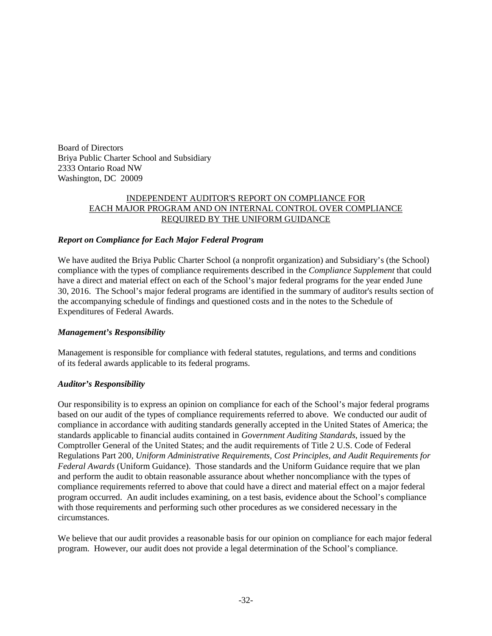#### *Opinion on Each Major Federal Award Program*

In our opinion, the Briya Public Charter School and Subsidiary, complied, in all material respects, with the types of compliance requirements referred to above that could have a direct and material effect on each of its major federal programs for the year ended June 30, 2016.

#### *Report on Internal Control Over Compliance*

Management of the School is responsible for establishing and maintaining effective internal control over compliance with the types of requirements referred to above. In planning and performing our audit of compliance, we considered the School's internal control over compliance with the types of requirements that could have a direct and material effect on each major federal program to determine the auditing procedures that are appropriate in the circumstances for the purpose of expressing an opinion on compliance for each major federal program and to test and report on internal control over compliance in accordance with the Uniform Guidance, but not for the purpose of expressing an opinion on the effectiveness of internal control over compliance. Accordingly, we do not express an opinion on the effectiveness of the School's internal control over compliance.

A *deficiency in internal control over compliance* exists when the design or operation of a control over compliance does not allow management or employees, in the normal course of performing their assigned functions, to prevent, or detect and correct, noncompliance with a type of compliance requirement of a federal program on a timely basis. A *material weakness in internal control over compliance* is a deficiency, or a combination of deficiencies, in internal control over compliance, such that there is a reasonable possibility that material noncompliance with a type of compliance requirement of a federal program will not be prevented, or detected and corrected, on a timely basis. A *significant deficiency in internal control over compliance* is a deficiency, or a combination of deficiencies, in internal control over compliance with a type of compliance requirement of a federal program that is less severe than a material weakness in internal control over compliance, yet important enough to merit attention by those charged with governance.

Our consideration of internal control over compliance was for the limited purpose described in the first paragraph of this section and was not designed to identify all deficiencies in internal control over compliance that might be material weaknesses or significant deficiencies. We did not identify any deficiencies in internal control over compliance that we consider to be material weaknesses. However, material weaknesses may exist that have not been identified.

The purpose of this report on internal control over compliance is solely to describe the scope of our testing of internal control over compliance and the results of that testing based on the requirements of the Uniform Guidance. Accordingly, this report is not suitable for any other purpose.

> Kendall, Prebola and Jones Certified Public Accountants

Bedford, Pennsylvania November 1, 2016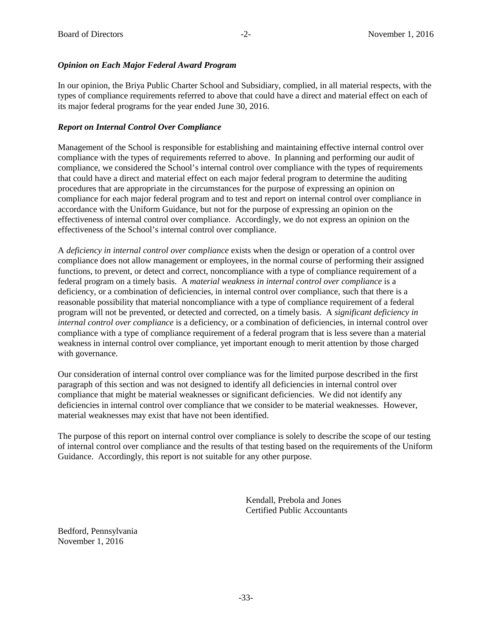## BRIYA PUBLIC CHARTER SCHOOL AND SUBSIDIARY SUMMARY SCHEDULE OF PRIOR AUDIT FINDINGS FOR THE YEAR ENDED JUNE 30, 2016

There were no audit findings in the prior year.